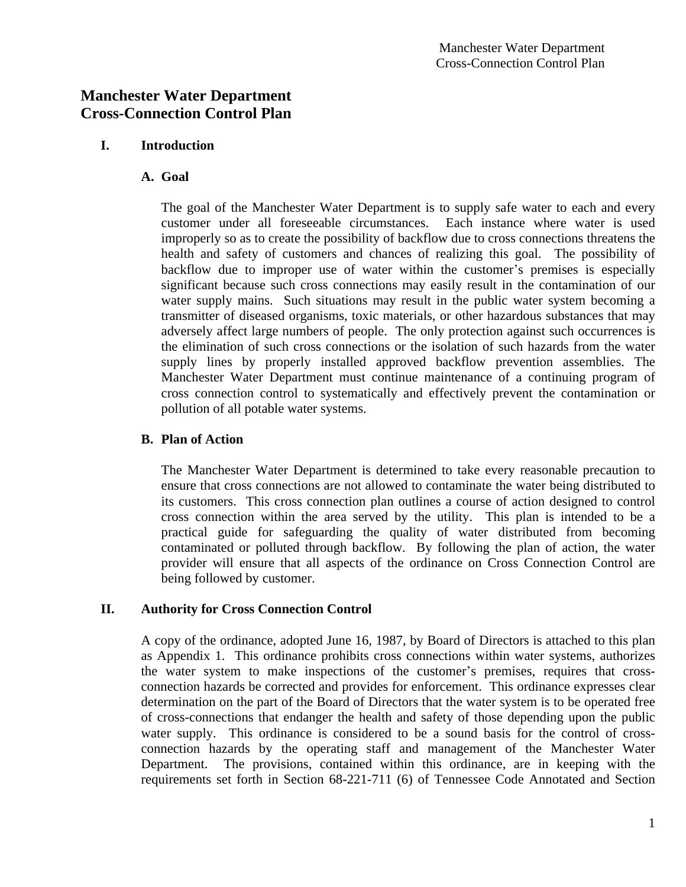# **I. Introduction**

# **A. Goal**

The goal of the Manchester Water Department is to supply safe water to each and every customer under all foreseeable circumstances. Each instance where water is used improperly so as to create the possibility of backflow due to cross connections threatens the health and safety of customers and chances of realizing this goal. The possibility of backflow due to improper use of water within the customer's premises is especially significant because such cross connections may easily result in the contamination of our water supply mains. Such situations may result in the public water system becoming a transmitter of diseased organisms, toxic materials, or other hazardous substances that may adversely affect large numbers of people. The only protection against such occurrences is the elimination of such cross connections or the isolation of such hazards from the water supply lines by properly installed approved backflow prevention assemblies. The Manchester Water Department must continue maintenance of a continuing program of cross connection control to systematically and effectively prevent the contamination or pollution of all potable water systems.

# **B. Plan of Action**

The Manchester Water Department is determined to take every reasonable precaution to ensure that cross connections are not allowed to contaminate the water being distributed to its customers. This cross connection plan outlines a course of action designed to control cross connection within the area served by the utility. This plan is intended to be a practical guide for safeguarding the quality of water distributed from becoming contaminated or polluted through backflow. By following the plan of action, the water provider will ensure that all aspects of the ordinance on Cross Connection Control are being followed by customer.

# **II. Authority for Cross Connection Control**

A copy of the ordinance, adopted June 16, 1987, by Board of Directors is attached to this plan as Appendix 1. This ordinance prohibits cross connections within water systems, authorizes the water system to make inspections of the customer's premises, requires that crossconnection hazards be corrected and provides for enforcement. This ordinance expresses clear determination on the part of the Board of Directors that the water system is to be operated free of cross-connections that endanger the health and safety of those depending upon the public water supply. This ordinance is considered to be a sound basis for the control of crossconnection hazards by the operating staff and management of the Manchester Water Department. The provisions, contained within this ordinance, are in keeping with the requirements set forth in Section 68-221-711 (6) of Tennessee Code Annotated and Section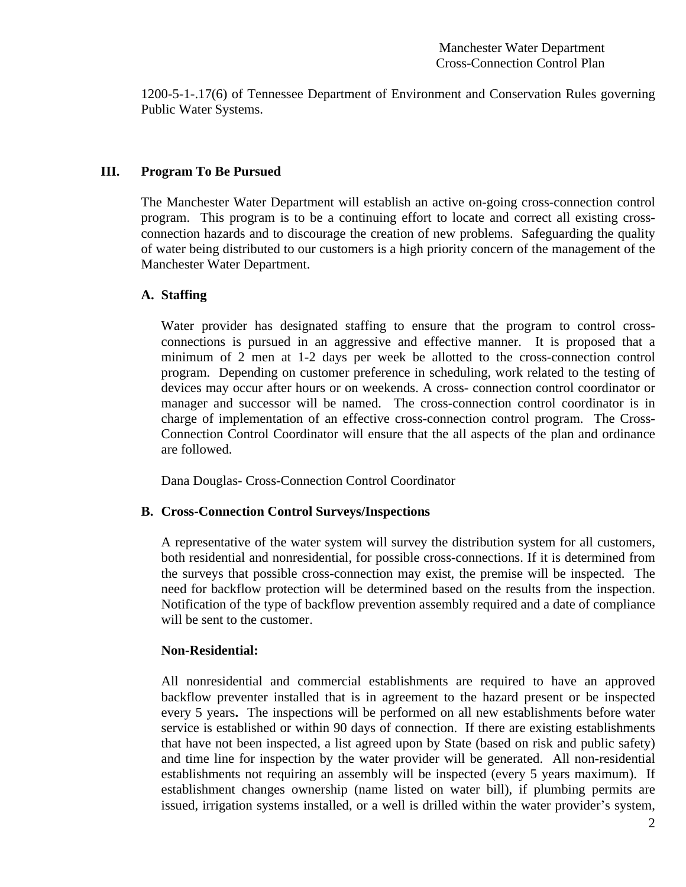1200-5-1-.17(6) of Tennessee Department of Environment and Conservation Rules governing Public Water Systems.

#### **III. Program To Be Pursued**

The Manchester Water Department will establish an active on-going cross-connection control program. This program is to be a continuing effort to locate and correct all existing crossconnection hazards and to discourage the creation of new problems. Safeguarding the quality of water being distributed to our customers is a high priority concern of the management of the Manchester Water Department.

#### **A. Staffing**

Water provider has designated staffing to ensure that the program to control crossconnections is pursued in an aggressive and effective manner. It is proposed that a minimum of 2 men at 1-2 days per week be allotted to the cross-connection control program. Depending on customer preference in scheduling, work related to the testing of devices may occur after hours or on weekends. A cross- connection control coordinator or manager and successor will be named. The cross-connection control coordinator is in charge of implementation of an effective cross-connection control program. The Cross-Connection Control Coordinator will ensure that the all aspects of the plan and ordinance are followed.

Dana Douglas- Cross-Connection Control Coordinator

### **B. Cross-Connection Control Surveys/Inspections**

A representative of the water system will survey the distribution system for all customers, both residential and nonresidential, for possible cross-connections. If it is determined from the surveys that possible cross-connection may exist, the premise will be inspected. The need for backflow protection will be determined based on the results from the inspection. Notification of the type of backflow prevention assembly required and a date of compliance will be sent to the customer.

### **Non-Residential:**

All nonresidential and commercial establishments are required to have an approved backflow preventer installed that is in agreement to the hazard present or be inspected every 5 years**.** The inspections will be performed on all new establishments before water service is established or within 90 days of connection. If there are existing establishments that have not been inspected, a list agreed upon by State (based on risk and public safety) and time line for inspection by the water provider will be generated. All non-residential establishments not requiring an assembly will be inspected (every 5 years maximum). If establishment changes ownership (name listed on water bill), if plumbing permits are issued, irrigation systems installed, or a well is drilled within the water provider's system,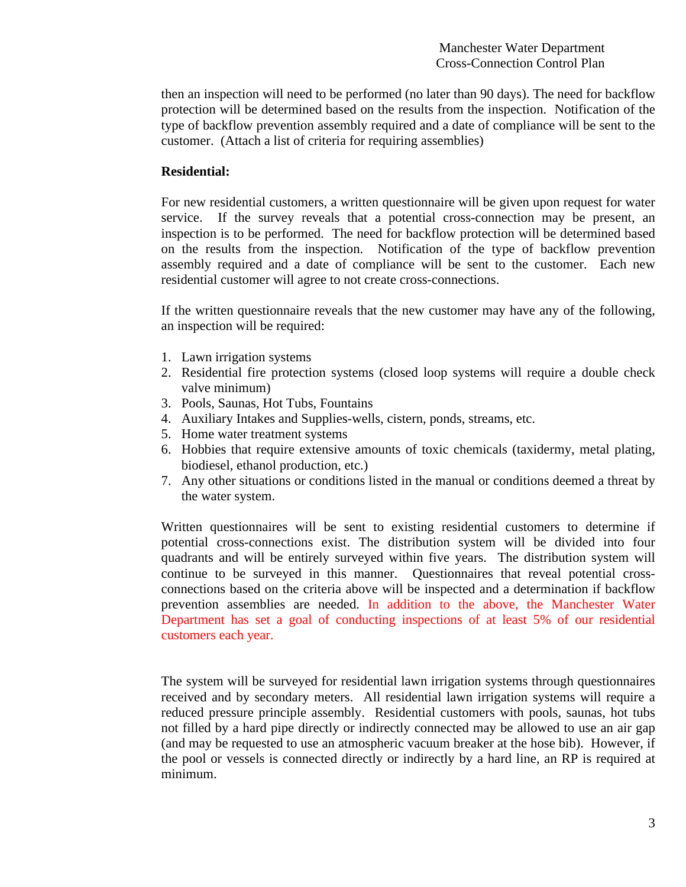then an inspection will need to be performed (no later than 90 days). The need for backflow protection will be determined based on the results from the inspection. Notification of the type of backflow prevention assembly required and a date of compliance will be sent to the customer. (Attach a list of criteria for requiring assemblies)

#### **Residential:**

For new residential customers, a written questionnaire will be given upon request for water service. If the survey reveals that a potential cross-connection may be present, an inspection is to be performed. The need for backflow protection will be determined based on the results from the inspection. Notification of the type of backflow prevention assembly required and a date of compliance will be sent to the customer. Each new residential customer will agree to not create cross-connections.

If the written questionnaire reveals that the new customer may have any of the following, an inspection will be required:

- 1. Lawn irrigation systems
- 2. Residential fire protection systems (closed loop systems will require a double check valve minimum)
- 3. Pools, Saunas, Hot Tubs, Fountains
- 4. Auxiliary Intakes and Supplies-wells, cistern, ponds, streams, etc.
- 5. Home water treatment systems
- 6. Hobbies that require extensive amounts of toxic chemicals (taxidermy, metal plating, biodiesel, ethanol production, etc.)
- 7. Any other situations or conditions listed in the manual or conditions deemed a threat by the water system.

Written questionnaires will be sent to existing residential customers to determine if potential cross-connections exist. The distribution system will be divided into four quadrants and will be entirely surveyed within five years. The distribution system will continue to be surveyed in this manner. Questionnaires that reveal potential crossconnections based on the criteria above will be inspected and a determination if backflow prevention assemblies are needed. In addition to the above, the Manchester Water Department has set a goal of conducting inspections of at least 5% of our residential customers each year.

The system will be surveyed for residential lawn irrigation systems through questionnaires received and by secondary meters. All residential lawn irrigation systems will require a reduced pressure principle assembly. Residential customers with pools, saunas, hot tubs not filled by a hard pipe directly or indirectly connected may be allowed to use an air gap (and may be requested to use an atmospheric vacuum breaker at the hose bib). However, if the pool or vessels is connected directly or indirectly by a hard line, an RP is required at minimum.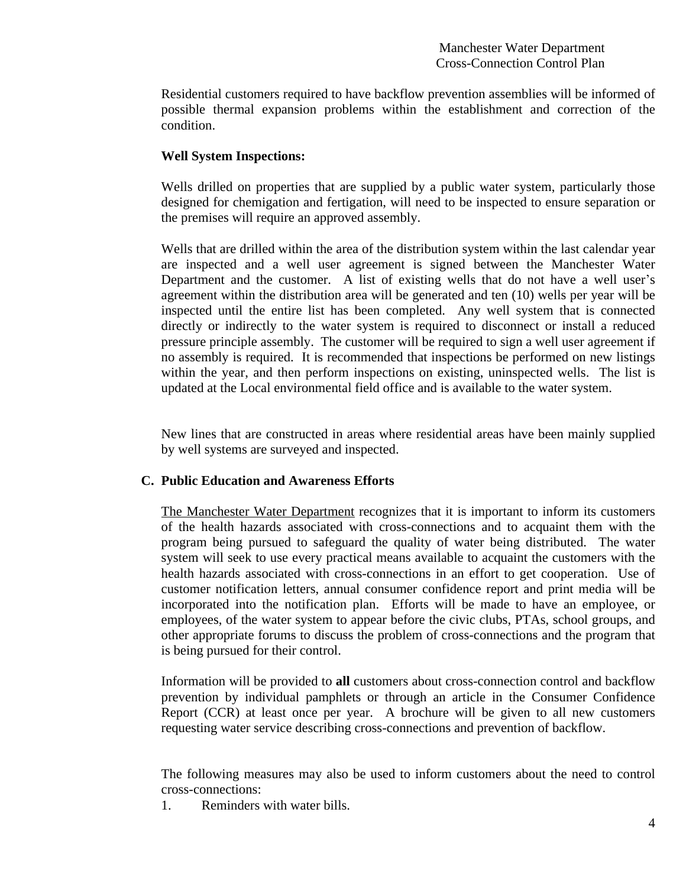Residential customers required to have backflow prevention assemblies will be informed of possible thermal expansion problems within the establishment and correction of the condition.

### **Well System Inspections:**

Wells drilled on properties that are supplied by a public water system, particularly those designed for chemigation and fertigation, will need to be inspected to ensure separation or the premises will require an approved assembly.

Wells that are drilled within the area of the distribution system within the last calendar year are inspected and a well user agreement is signed between the Manchester Water Department and the customer. A list of existing wells that do not have a well user's agreement within the distribution area will be generated and ten (10) wells per year will be inspected until the entire list has been completed. Any well system that is connected directly or indirectly to the water system is required to disconnect or install a reduced pressure principle assembly. The customer will be required to sign a well user agreement if no assembly is required. It is recommended that inspections be performed on new listings within the year, and then perform inspections on existing, uninspected wells. The list is updated at the Local environmental field office and is available to the water system.

New lines that are constructed in areas where residential areas have been mainly supplied by well systems are surveyed and inspected.

# **C. Public Education and Awareness Efforts**

The Manchester Water Department recognizes that it is important to inform its customers of the health hazards associated with cross-connections and to acquaint them with the program being pursued to safeguard the quality of water being distributed. The water system will seek to use every practical means available to acquaint the customers with the health hazards associated with cross-connections in an effort to get cooperation. Use of customer notification letters, annual consumer confidence report and print media will be incorporated into the notification plan. Efforts will be made to have an employee, or employees, of the water system to appear before the civic clubs, PTAs, school groups, and other appropriate forums to discuss the problem of cross-connections and the program that is being pursued for their control.

Information will be provided to **all** customers about cross-connection control and backflow prevention by individual pamphlets or through an article in the Consumer Confidence Report (CCR) at least once per year. A brochure will be given to all new customers requesting water service describing cross-connections and prevention of backflow.

The following measures may also be used to inform customers about the need to control cross-connections:

1. Reminders with water bills.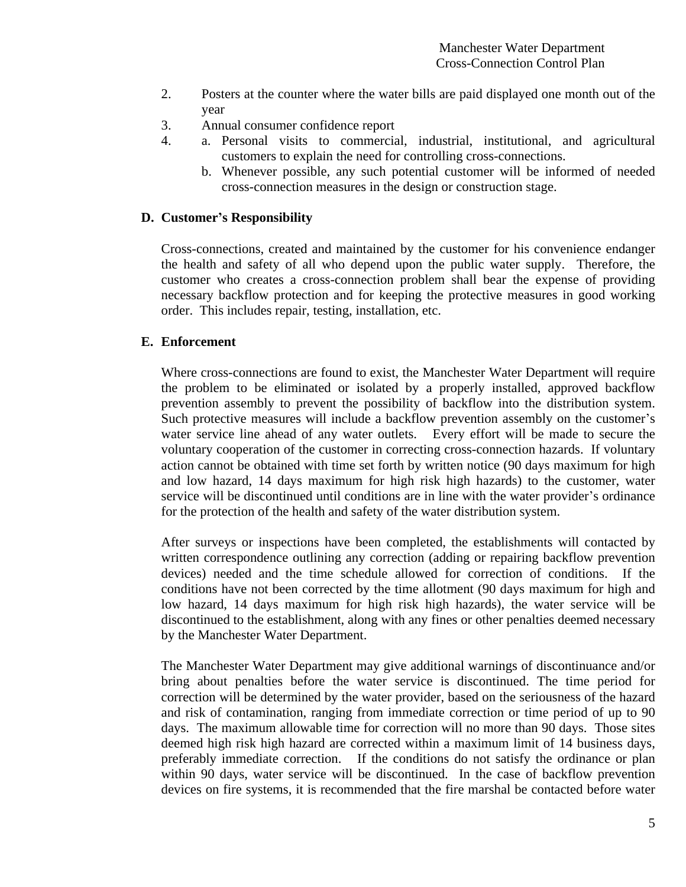- 2. Posters at the counter where the water bills are paid displayed one month out of the year
- 3. Annual consumer confidence report
- 4. a. Personal visits to commercial, industrial, institutional, and agricultural customers to explain the need for controlling cross-connections.
	- b. Whenever possible, any such potential customer will be informed of needed cross-connection measures in the design or construction stage.

#### **D. Customer's Responsibility**

Cross-connections, created and maintained by the customer for his convenience endanger the health and safety of all who depend upon the public water supply. Therefore, the customer who creates a cross-connection problem shall bear the expense of providing necessary backflow protection and for keeping the protective measures in good working order. This includes repair, testing, installation, etc.

#### **E. Enforcement**

Where cross-connections are found to exist, the Manchester Water Department will require the problem to be eliminated or isolated by a properly installed, approved backflow prevention assembly to prevent the possibility of backflow into the distribution system. Such protective measures will include a backflow prevention assembly on the customer's water service line ahead of any water outlets. Every effort will be made to secure the voluntary cooperation of the customer in correcting cross-connection hazards. If voluntary action cannot be obtained with time set forth by written notice (90 days maximum for high and low hazard, 14 days maximum for high risk high hazards) to the customer, water service will be discontinued until conditions are in line with the water provider's ordinance for the protection of the health and safety of the water distribution system.

After surveys or inspections have been completed, the establishments will contacted by written correspondence outlining any correction (adding or repairing backflow prevention devices) needed and the time schedule allowed for correction of conditions. If the conditions have not been corrected by the time allotment (90 days maximum for high and low hazard, 14 days maximum for high risk high hazards), the water service will be discontinued to the establishment, along with any fines or other penalties deemed necessary by the Manchester Water Department.

The Manchester Water Department may give additional warnings of discontinuance and/or bring about penalties before the water service is discontinued. The time period for correction will be determined by the water provider, based on the seriousness of the hazard and risk of contamination, ranging from immediate correction or time period of up to 90 days. The maximum allowable time for correction will no more than 90 days. Those sites deemed high risk high hazard are corrected within a maximum limit of 14 business days, preferably immediate correction. If the conditions do not satisfy the ordinance or plan within 90 days, water service will be discontinued. In the case of backflow prevention devices on fire systems, it is recommended that the fire marshal be contacted before water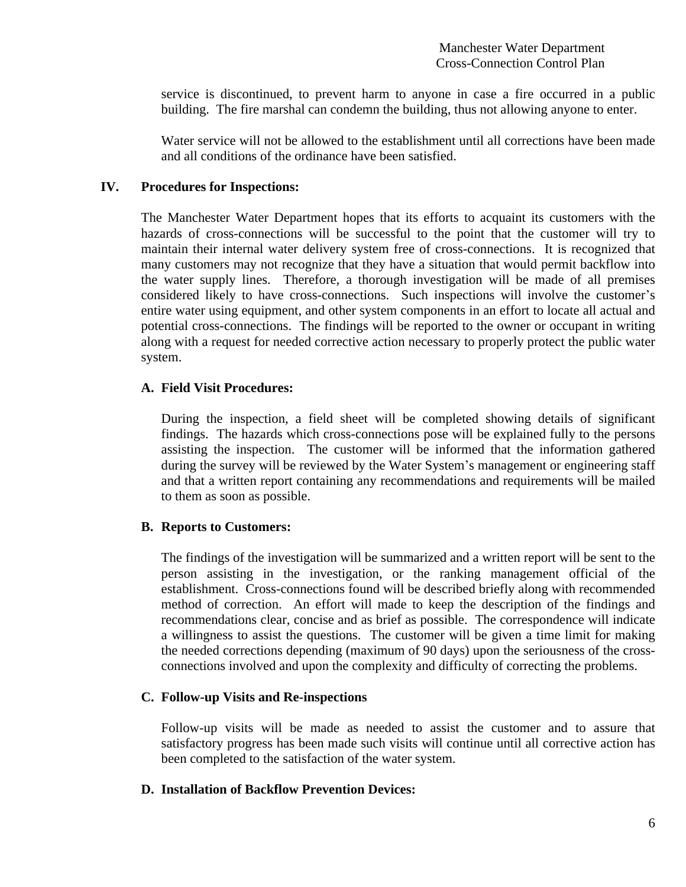service is discontinued, to prevent harm to anyone in case a fire occurred in a public building. The fire marshal can condemn the building, thus not allowing anyone to enter.

Water service will not be allowed to the establishment until all corrections have been made and all conditions of the ordinance have been satisfied.

#### **IV. Procedures for Inspections:**

The Manchester Water Department hopes that its efforts to acquaint its customers with the hazards of cross-connections will be successful to the point that the customer will try to maintain their internal water delivery system free of cross-connections. It is recognized that many customers may not recognize that they have a situation that would permit backflow into the water supply lines. Therefore, a thorough investigation will be made of all premises considered likely to have cross-connections. Such inspections will involve the customer's entire water using equipment, and other system components in an effort to locate all actual and potential cross-connections. The findings will be reported to the owner or occupant in writing along with a request for needed corrective action necessary to properly protect the public water system.

### **A. Field Visit Procedures:**

During the inspection, a field sheet will be completed showing details of significant findings. The hazards which cross-connections pose will be explained fully to the persons assisting the inspection. The customer will be informed that the information gathered during the survey will be reviewed by the Water System's management or engineering staff and that a written report containing any recommendations and requirements will be mailed to them as soon as possible.

### **B. Reports to Customers:**

The findings of the investigation will be summarized and a written report will be sent to the person assisting in the investigation, or the ranking management official of the establishment. Cross-connections found will be described briefly along with recommended method of correction. An effort will made to keep the description of the findings and recommendations clear, concise and as brief as possible. The correspondence will indicate a willingness to assist the questions. The customer will be given a time limit for making the needed corrections depending (maximum of 90 days) upon the seriousness of the crossconnections involved and upon the complexity and difficulty of correcting the problems.

### **C. Follow-up Visits and Re-inspections**

Follow-up visits will be made as needed to assist the customer and to assure that satisfactory progress has been made such visits will continue until all corrective action has been completed to the satisfaction of the water system.

#### **D. Installation of Backflow Prevention Devices:**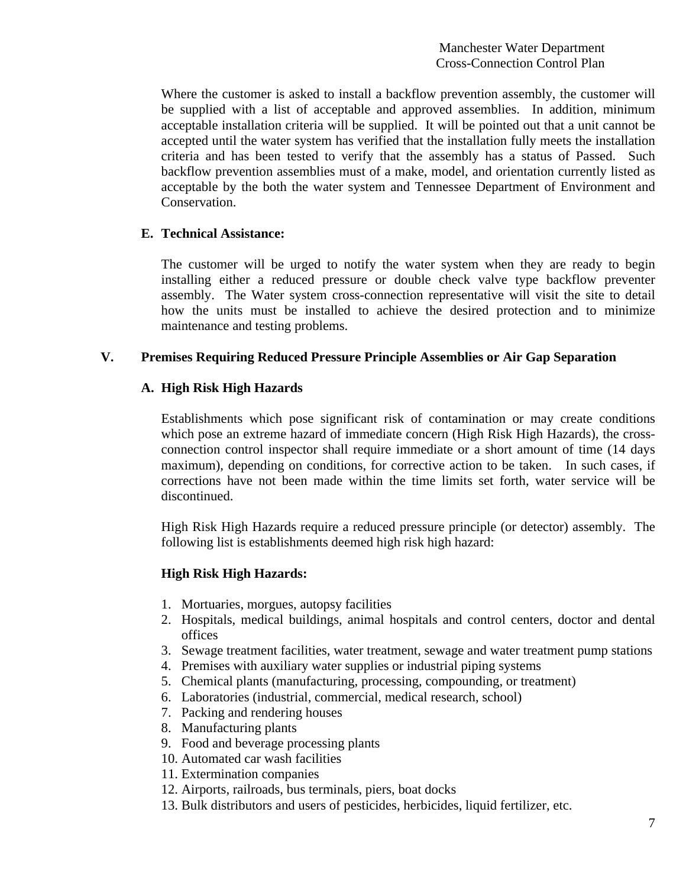Where the customer is asked to install a backflow prevention assembly, the customer will be supplied with a list of acceptable and approved assemblies. In addition, minimum acceptable installation criteria will be supplied. It will be pointed out that a unit cannot be accepted until the water system has verified that the installation fully meets the installation criteria and has been tested to verify that the assembly has a status of Passed. Such backflow prevention assemblies must of a make, model, and orientation currently listed as acceptable by the both the water system and Tennessee Department of Environment and Conservation.

# **E. Technical Assistance:**

The customer will be urged to notify the water system when they are ready to begin installing either a reduced pressure or double check valve type backflow preventer assembly. The Water system cross-connection representative will visit the site to detail how the units must be installed to achieve the desired protection and to minimize maintenance and testing problems.

# **V. Premises Requiring Reduced Pressure Principle Assemblies or Air Gap Separation**

# **A. High Risk High Hazards**

Establishments which pose significant risk of contamination or may create conditions which pose an extreme hazard of immediate concern (High Risk High Hazards), the crossconnection control inspector shall require immediate or a short amount of time (14 days maximum), depending on conditions, for corrective action to be taken. In such cases, if corrections have not been made within the time limits set forth, water service will be discontinued.

High Risk High Hazards require a reduced pressure principle (or detector) assembly. The following list is establishments deemed high risk high hazard:

### **High Risk High Hazards:**

- 1. Mortuaries, morgues, autopsy facilities
- 2. Hospitals, medical buildings, animal hospitals and control centers, doctor and dental offices
- 3. Sewage treatment facilities, water treatment, sewage and water treatment pump stations
- 4. Premises with auxiliary water supplies or industrial piping systems
- 5. Chemical plants (manufacturing, processing, compounding, or treatment)
- 6. Laboratories (industrial, commercial, medical research, school)
- 7. Packing and rendering houses
- 8. Manufacturing plants
- 9. Food and beverage processing plants
- 10. Automated car wash facilities
- 11. Extermination companies
- 12. Airports, railroads, bus terminals, piers, boat docks
- 13. Bulk distributors and users of pesticides, herbicides, liquid fertilizer, etc.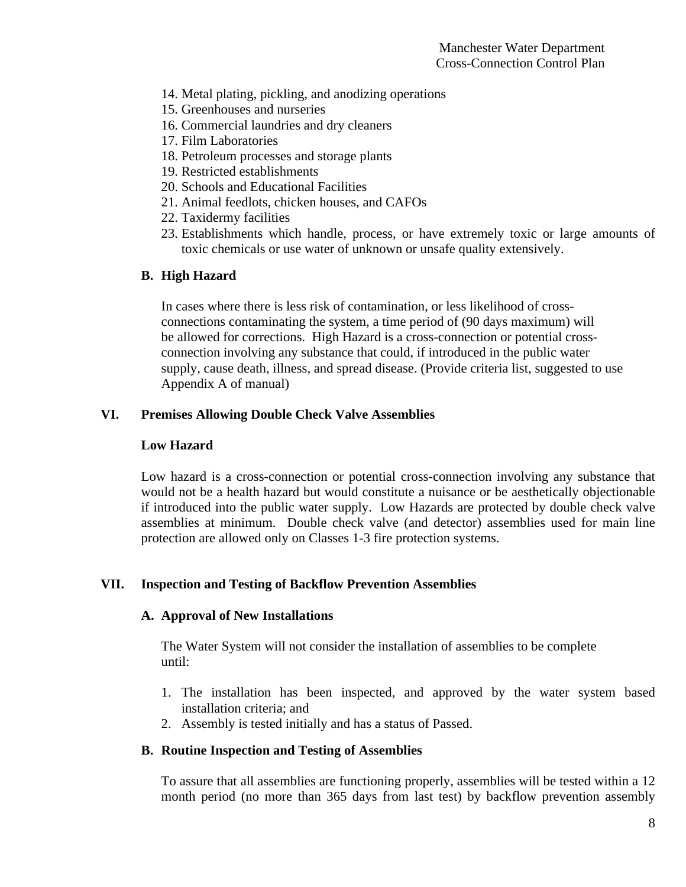- 14. Metal plating, pickling, and anodizing operations
- 15. Greenhouses and nurseries
- 16. Commercial laundries and dry cleaners
- 17. Film Laboratories
- 18. Petroleum processes and storage plants
- 19. Restricted establishments
- 20. Schools and Educational Facilities
- 21. Animal feedlots, chicken houses, and CAFOs
- 22. Taxidermy facilities
- 23. Establishments which handle, process, or have extremely toxic or large amounts of toxic chemicals or use water of unknown or unsafe quality extensively.

# **B. High Hazard**

In cases where there is less risk of contamination, or less likelihood of crossconnections contaminating the system, a time period of (90 days maximum) will be allowed for corrections. High Hazard is a cross-connection or potential crossconnection involving any substance that could, if introduced in the public water supply, cause death, illness, and spread disease. (Provide criteria list, suggested to use Appendix A of manual)

# **VI. Premises Allowing Double Check Valve Assemblies**

# **Low Hazard**

Low hazard is a cross-connection or potential cross-connection involving any substance that would not be a health hazard but would constitute a nuisance or be aesthetically objectionable if introduced into the public water supply. Low Hazards are protected by double check valve assemblies at minimum. Double check valve (and detector) assemblies used for main line protection are allowed only on Classes 1-3 fire protection systems.

# **VII. Inspection and Testing of Backflow Prevention Assemblies**

### **A. Approval of New Installations**

The Water System will not consider the installation of assemblies to be complete until:

- 1. The installation has been inspected, and approved by the water system based installation criteria; and
- 2. Assembly is tested initially and has a status of Passed.

### **B. Routine Inspection and Testing of Assemblies**

To assure that all assemblies are functioning properly, assemblies will be tested within a 12 month period (no more than 365 days from last test) by backflow prevention assembly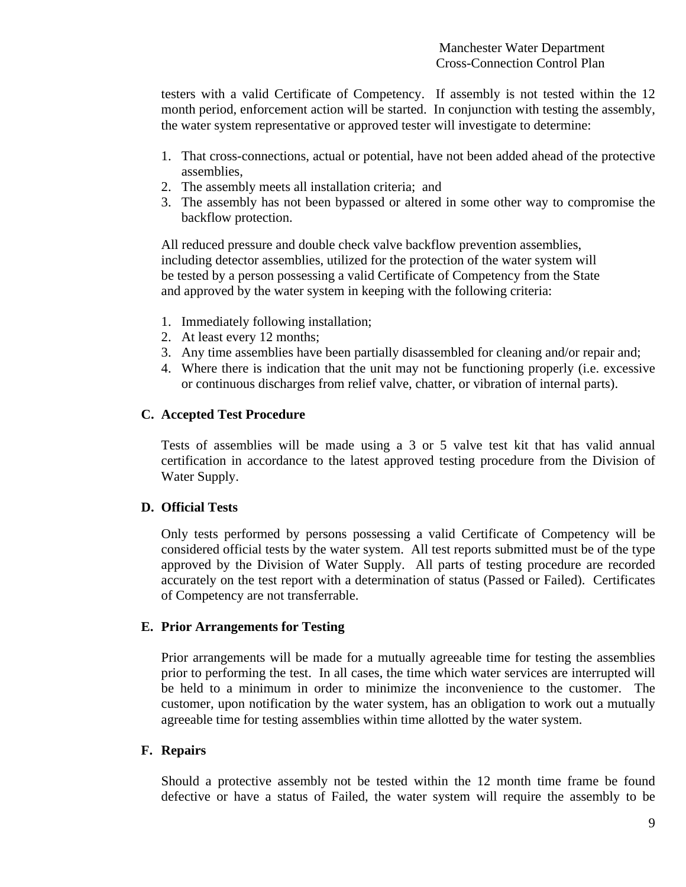testers with a valid Certificate of Competency. If assembly is not tested within the 12 month period, enforcement action will be started. In conjunction with testing the assembly, the water system representative or approved tester will investigate to determine:

- 1. That cross-connections, actual or potential, have not been added ahead of the protective assemblies,
- 2. The assembly meets all installation criteria; and
- 3. The assembly has not been bypassed or altered in some other way to compromise the backflow protection.

All reduced pressure and double check valve backflow prevention assemblies, including detector assemblies, utilized for the protection of the water system will be tested by a person possessing a valid Certificate of Competency from the State and approved by the water system in keeping with the following criteria:

- 1. Immediately following installation;
- 2. At least every 12 months;
- 3. Any time assemblies have been partially disassembled for cleaning and/or repair and;
- 4. Where there is indication that the unit may not be functioning properly (i.e. excessive or continuous discharges from relief valve, chatter, or vibration of internal parts).

# **C. Accepted Test Procedure**

Tests of assemblies will be made using a 3 or 5 valve test kit that has valid annual certification in accordance to the latest approved testing procedure from the Division of Water Supply.

# **D. Official Tests**

Only tests performed by persons possessing a valid Certificate of Competency will be considered official tests by the water system. All test reports submitted must be of the type approved by the Division of Water Supply. All parts of testing procedure are recorded accurately on the test report with a determination of status (Passed or Failed). Certificates of Competency are not transferrable.

### **E. Prior Arrangements for Testing**

Prior arrangements will be made for a mutually agreeable time for testing the assemblies prior to performing the test. In all cases, the time which water services are interrupted will be held to a minimum in order to minimize the inconvenience to the customer. The customer, upon notification by the water system, has an obligation to work out a mutually agreeable time for testing assemblies within time allotted by the water system.

### **F. Repairs**

Should a protective assembly not be tested within the 12 month time frame be found defective or have a status of Failed, the water system will require the assembly to be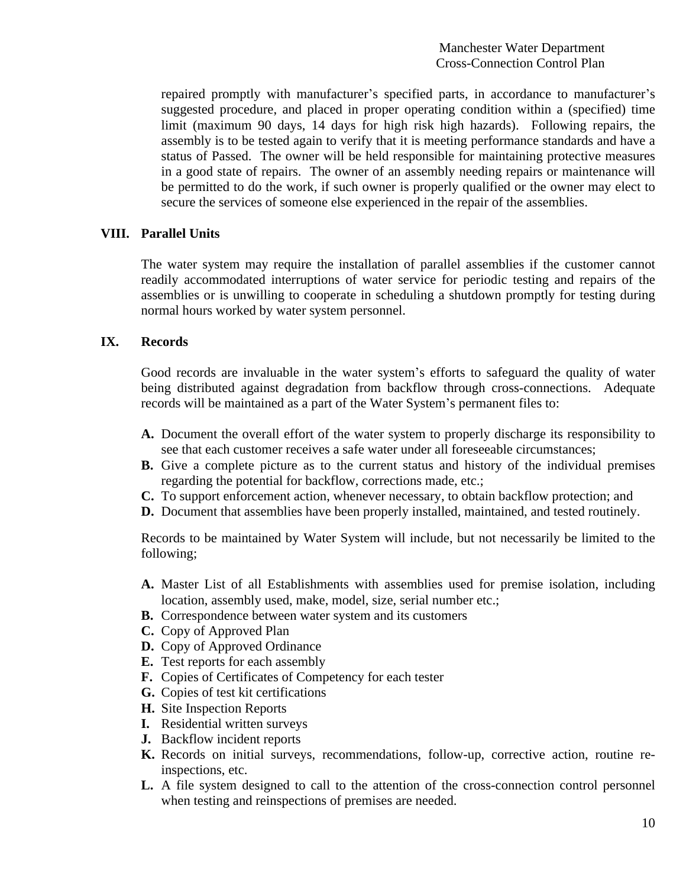repaired promptly with manufacturer's specified parts, in accordance to manufacturer's suggested procedure, and placed in proper operating condition within a (specified) time limit (maximum 90 days, 14 days for high risk high hazards). Following repairs, the assembly is to be tested again to verify that it is meeting performance standards and have a status of Passed. The owner will be held responsible for maintaining protective measures in a good state of repairs. The owner of an assembly needing repairs or maintenance will be permitted to do the work, if such owner is properly qualified or the owner may elect to secure the services of someone else experienced in the repair of the assemblies.

#### **VIII. Parallel Units**

The water system may require the installation of parallel assemblies if the customer cannot readily accommodated interruptions of water service for periodic testing and repairs of the assemblies or is unwilling to cooperate in scheduling a shutdown promptly for testing during normal hours worked by water system personnel.

#### **IX. Records**

Good records are invaluable in the water system's efforts to safeguard the quality of water being distributed against degradation from backflow through cross-connections. Adequate records will be maintained as a part of the Water System's permanent files to:

- **A.** Document the overall effort of the water system to properly discharge its responsibility to see that each customer receives a safe water under all foreseeable circumstances;
- **B.** Give a complete picture as to the current status and history of the individual premises regarding the potential for backflow, corrections made, etc.;
- **C.** To support enforcement action, whenever necessary, to obtain backflow protection; and
- **D.** Document that assemblies have been properly installed, maintained, and tested routinely.

Records to be maintained by Water System will include, but not necessarily be limited to the following;

- **A.** Master List of all Establishments with assemblies used for premise isolation, including location, assembly used, make, model, size, serial number etc.;
- **B.** Correspondence between water system and its customers
- **C.** Copy of Approved Plan
- **D.** Copy of Approved Ordinance
- **E.** Test reports for each assembly
- **F.** Copies of Certificates of Competency for each tester
- **G.** Copies of test kit certifications
- **H.** Site Inspection Reports
- **I.** Residential written surveys
- **J.** Backflow incident reports
- **K.** Records on initial surveys, recommendations, follow-up, corrective action, routine reinspections, etc.
- **L.** A file system designed to call to the attention of the cross-connection control personnel when testing and reinspections of premises are needed.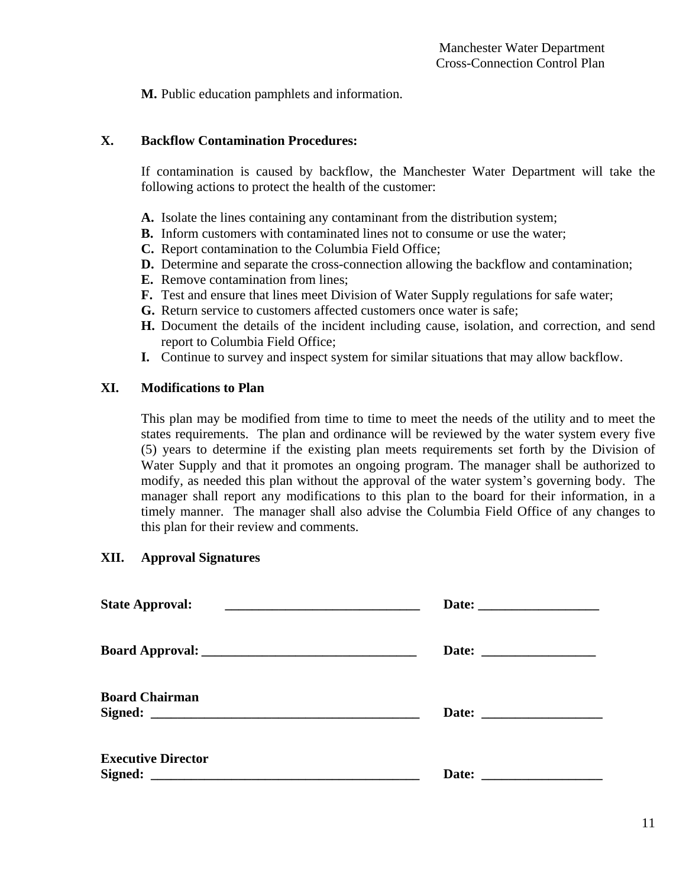**M.** Public education pamphlets and information.

# **X. Backflow Contamination Procedures:**

If contamination is caused by backflow, the Manchester Water Department will take the following actions to protect the health of the customer:

- **A.** Isolate the lines containing any contaminant from the distribution system;
- **B.** Inform customers with contaminated lines not to consume or use the water;
- **C.** Report contamination to the Columbia Field Office;
- **D.** Determine and separate the cross-connection allowing the backflow and contamination;
- **E.** Remove contamination from lines;
- **F.** Test and ensure that lines meet Division of Water Supply regulations for safe water;
- **G.** Return service to customers affected customers once water is safe;
- **H.** Document the details of the incident including cause, isolation, and correction, and send report to Columbia Field Office;
- **I.** Continue to survey and inspect system for similar situations that may allow backflow.

# **XI. Modifications to Plan**

This plan may be modified from time to time to meet the needs of the utility and to meet the states requirements. The plan and ordinance will be reviewed by the water system every five (5) years to determine if the existing plan meets requirements set forth by the Division of Water Supply and that it promotes an ongoing program. The manager shall be authorized to modify, as needed this plan without the approval of the water system's governing body. The manager shall report any modifications to this plan to the board for their information, in a timely manner. The manager shall also advise the Columbia Field Office of any changes to this plan for their review and comments.

# **XII. Approval Signatures**

| <b>State Approval:</b>    |  |
|---------------------------|--|
|                           |  |
| <b>Board Chairman</b>     |  |
| <b>Executive Director</b> |  |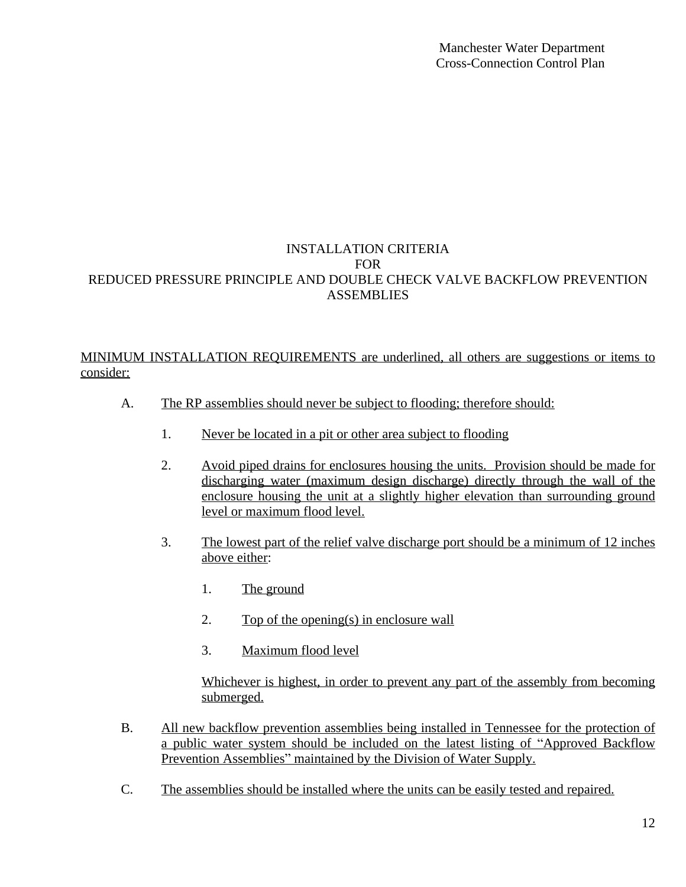# INSTALLATION CRITERIA FOR REDUCED PRESSURE PRINCIPLE AND DOUBLE CHECK VALVE BACKFLOW PREVENTION **ASSEMBLIES**

# MINIMUM INSTALLATION REQUIREMENTS are underlined, all others are suggestions or items to consider:

- A. The RP assemblies should never be subject to flooding; therefore should:
	- 1. Never be located in a pit or other area subject to flooding
	- 2. Avoid piped drains for enclosures housing the units. Provision should be made for discharging water (maximum design discharge) directly through the wall of the enclosure housing the unit at a slightly higher elevation than surrounding ground level or maximum flood level.
	- 3. The lowest part of the relief valve discharge port should be a minimum of 12 inches above either:
		- 1. The ground
		- 2. Top of the opening(s) in enclosure wall
		- 3. Maximum flood level

Whichever is highest, in order to prevent any part of the assembly from becoming submerged.

- B. All new backflow prevention assemblies being installed in Tennessee for the protection of a public water system should be included on the latest listing of "Approved Backflow Prevention Assemblies" maintained by the Division of Water Supply.
- C. The assemblies should be installed where the units can be easily tested and repaired.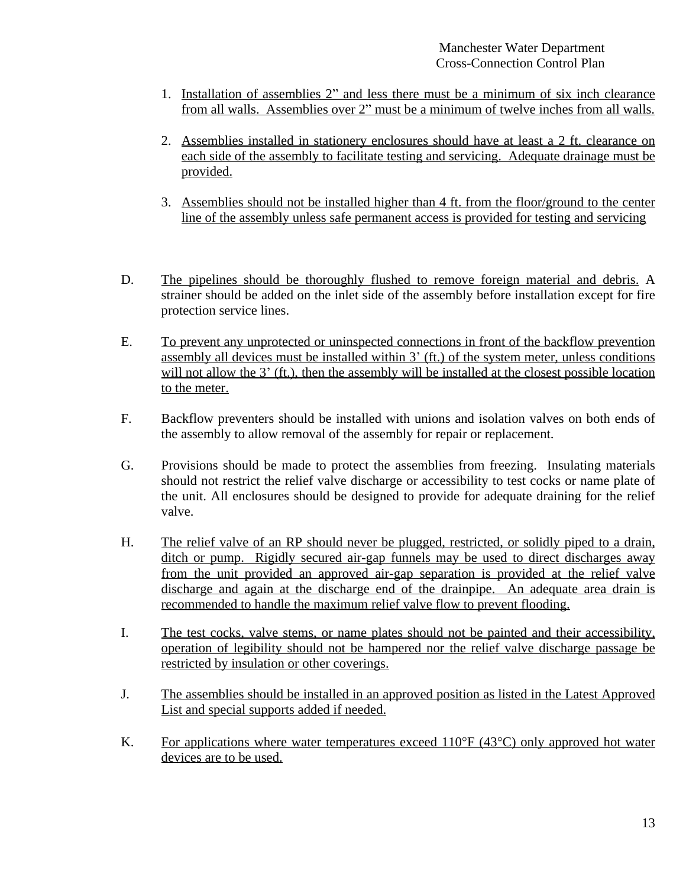- 1. Installation of assemblies 2" and less there must be a minimum of six inch clearance from all walls. Assemblies over 2" must be a minimum of twelve inches from all walls.
- 2. Assemblies installed in stationery enclosures should have at least a 2 ft. clearance on each side of the assembly to facilitate testing and servicing. Adequate drainage must be provided.
- 3. Assemblies should not be installed higher than 4 ft. from the floor/ground to the center line of the assembly unless safe permanent access is provided for testing and servicing
- D. The pipelines should be thoroughly flushed to remove foreign material and debris. A strainer should be added on the inlet side of the assembly before installation except for fire protection service lines.
- E. To prevent any unprotected or uninspected connections in front of the backflow prevention assembly all devices must be installed within 3' (ft.) of the system meter, unless conditions will not allow the 3' (ft.), then the assembly will be installed at the closest possible location to the meter.
- F. Backflow preventers should be installed with unions and isolation valves on both ends of the assembly to allow removal of the assembly for repair or replacement.
- G. Provisions should be made to protect the assemblies from freezing. Insulating materials should not restrict the relief valve discharge or accessibility to test cocks or name plate of the unit. All enclosures should be designed to provide for adequate draining for the relief valve.
- H. The relief valve of an RP should never be plugged, restricted, or solidly piped to a drain, ditch or pump. Rigidly secured air-gap funnels may be used to direct discharges away from the unit provided an approved air-gap separation is provided at the relief valve discharge and again at the discharge end of the drainpipe. An adequate area drain is recommended to handle the maximum relief valve flow to prevent flooding.
- I. The test cocks, valve stems, or name plates should not be painted and their accessibility, operation of legibility should not be hampered nor the relief valve discharge passage be restricted by insulation or other coverings.
- J. The assemblies should be installed in an approved position as listed in the Latest Approved List and special supports added if needed.
- K. For applications where water temperatures exceed  $110^{\circ}F(43^{\circ}C)$  only approved hot water devices are to be used.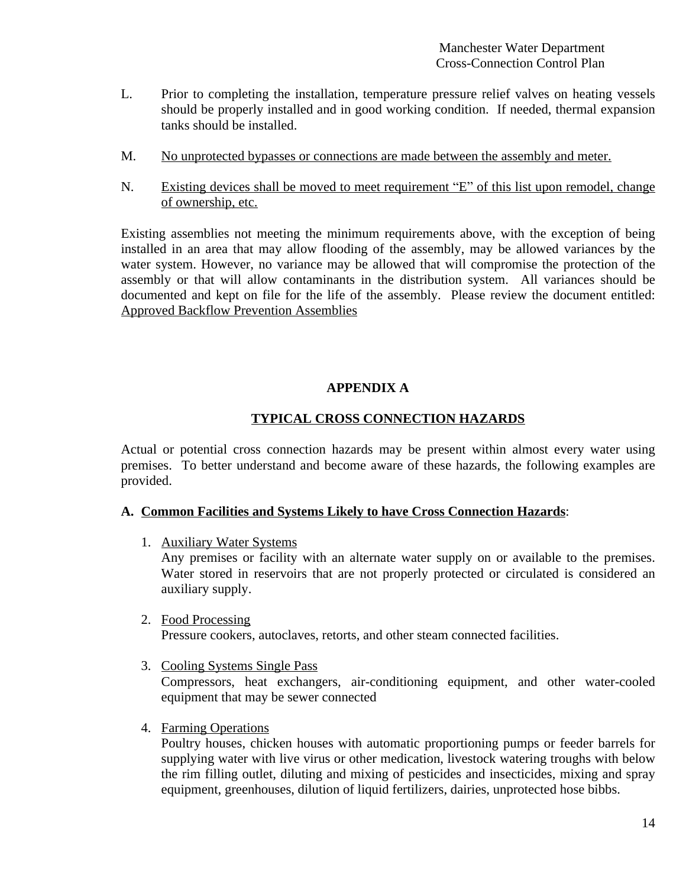- L. Prior to completing the installation, temperature pressure relief valves on heating vessels should be properly installed and in good working condition. If needed, thermal expansion tanks should be installed.
- M. No unprotected bypasses or connections are made between the assembly and meter.
- N. Existing devices shall be moved to meet requirement "E" of this list upon remodel, change of ownership, etc.

Existing assemblies not meeting the minimum requirements above, with the exception of being installed in an area that may allow flooding of the assembly, may be allowed variances by the water system. However, no variance may be allowed that will compromise the protection of the assembly or that will allow contaminants in the distribution system. All variances should be documented and kept on file for the life of the assembly. Please review the document entitled: Approved Backflow Prevention Assemblies

# **APPENDIX A**

### **TYPICAL CROSS CONNECTION HAZARDS**

Actual or potential cross connection hazards may be present within almost every water using premises. To better understand and become aware of these hazards, the following examples are provided.

### **A. Common Facilities and Systems Likely to have Cross Connection Hazards**:

1. Auxiliary Water Systems

Any premises or facility with an alternate water supply on or available to the premises. Water stored in reservoirs that are not properly protected or circulated is considered an auxiliary supply.

2. Food Processing

Pressure cookers, autoclaves, retorts, and other steam connected facilities.

3. Cooling Systems Single Pass

Compressors, heat exchangers, air-conditioning equipment, and other water-cooled equipment that may be sewer connected

4. Farming Operations

Poultry houses, chicken houses with automatic proportioning pumps or feeder barrels for supplying water with live virus or other medication, livestock watering troughs with below the rim filling outlet, diluting and mixing of pesticides and insecticides, mixing and spray equipment, greenhouses, dilution of liquid fertilizers, dairies, unprotected hose bibbs.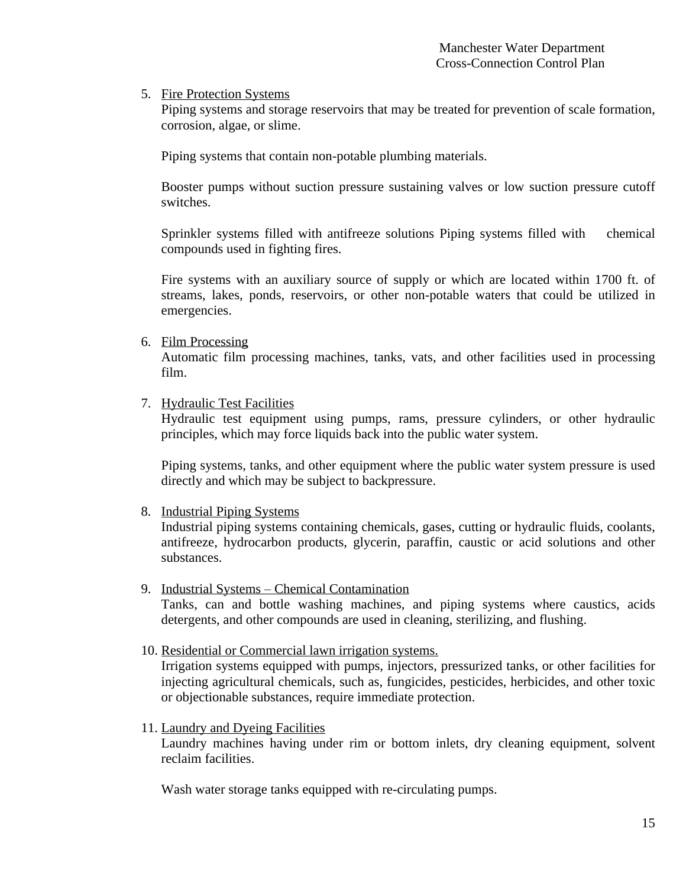5. Fire Protection Systems

Piping systems and storage reservoirs that may be treated for prevention of scale formation, corrosion, algae, or slime.

Piping systems that contain non-potable plumbing materials.

Booster pumps without suction pressure sustaining valves or low suction pressure cutoff switches.

Sprinkler systems filled with antifreeze solutions Piping systems filled with chemical compounds used in fighting fires.

Fire systems with an auxiliary source of supply or which are located within 1700 ft. of streams, lakes, ponds, reservoirs, or other non-potable waters that could be utilized in emergencies.

6. Film Processing

Automatic film processing machines, tanks, vats, and other facilities used in processing film.

7. Hydraulic Test Facilities

Hydraulic test equipment using pumps, rams, pressure cylinders, or other hydraulic principles, which may force liquids back into the public water system.

Piping systems, tanks, and other equipment where the public water system pressure is used directly and which may be subject to backpressure.

8. Industrial Piping Systems

Industrial piping systems containing chemicals, gases, cutting or hydraulic fluids, coolants, antifreeze, hydrocarbon products, glycerin, paraffin, caustic or acid solutions and other substances.

9. Industrial Systems – Chemical Contamination

Tanks, can and bottle washing machines, and piping systems where caustics, acids detergents, and other compounds are used in cleaning, sterilizing, and flushing.

10. Residential or Commercial lawn irrigation systems.

Irrigation systems equipped with pumps, injectors, pressurized tanks, or other facilities for injecting agricultural chemicals, such as, fungicides, pesticides, herbicides, and other toxic or objectionable substances, require immediate protection.

11. Laundry and Dyeing Facilities

Laundry machines having under rim or bottom inlets, dry cleaning equipment, solvent reclaim facilities.

Wash water storage tanks equipped with re-circulating pumps.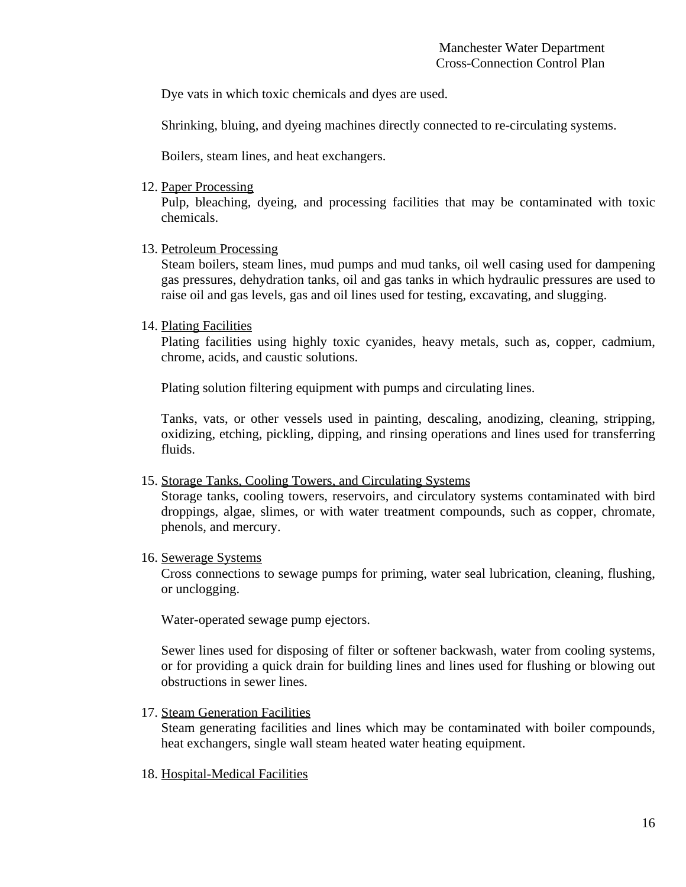Dye vats in which toxic chemicals and dyes are used.

Shrinking, bluing, and dyeing machines directly connected to re-circulating systems.

Boilers, steam lines, and heat exchangers.

12. Paper Processing

Pulp, bleaching, dyeing, and processing facilities that may be contaminated with toxic chemicals.

13. Petroleum Processing

Steam boilers, steam lines, mud pumps and mud tanks, oil well casing used for dampening gas pressures, dehydration tanks, oil and gas tanks in which hydraulic pressures are used to raise oil and gas levels, gas and oil lines used for testing, excavating, and slugging.

14. Plating Facilities

Plating facilities using highly toxic cyanides, heavy metals, such as, copper, cadmium, chrome, acids, and caustic solutions.

Plating solution filtering equipment with pumps and circulating lines.

Tanks, vats, or other vessels used in painting, descaling, anodizing, cleaning, stripping, oxidizing, etching, pickling, dipping, and rinsing operations and lines used for transferring fluids.

15. Storage Tanks, Cooling Towers, and Circulating Systems

Storage tanks, cooling towers, reservoirs, and circulatory systems contaminated with bird droppings, algae, slimes, or with water treatment compounds, such as copper, chromate, phenols, and mercury.

16. Sewerage Systems

Cross connections to sewage pumps for priming, water seal lubrication, cleaning, flushing, or unclogging.

Water-operated sewage pump ejectors.

Sewer lines used for disposing of filter or softener backwash, water from cooling systems, or for providing a quick drain for building lines and lines used for flushing or blowing out obstructions in sewer lines.

17. Steam Generation Facilities

Steam generating facilities and lines which may be contaminated with boiler compounds, heat exchangers, single wall steam heated water heating equipment.

18. Hospital-Medical Facilities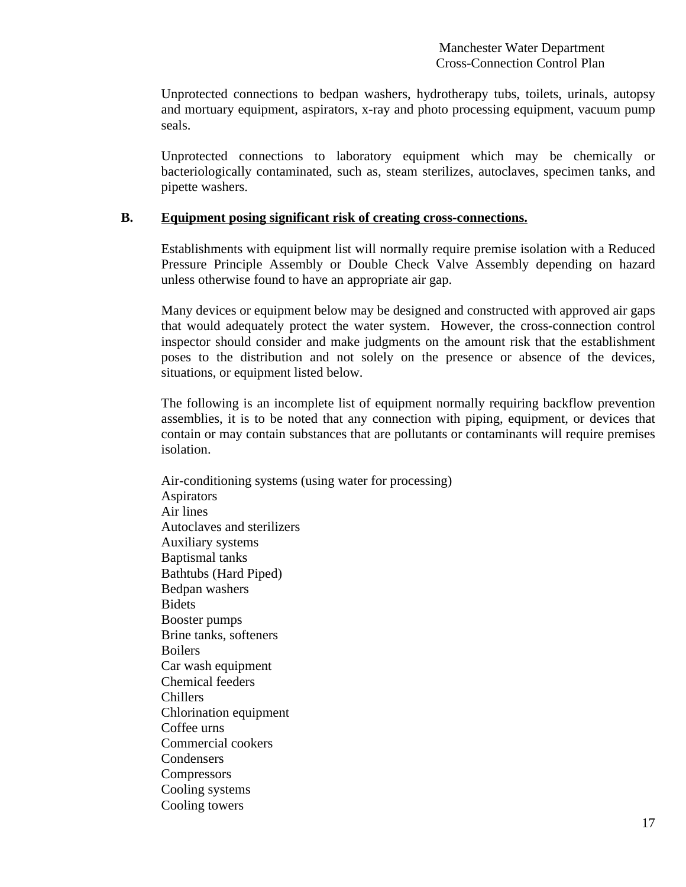Unprotected connections to bedpan washers, hydrotherapy tubs, toilets, urinals, autopsy and mortuary equipment, aspirators, x-ray and photo processing equipment, vacuum pump seals.

Unprotected connections to laboratory equipment which may be chemically or bacteriologically contaminated, such as, steam sterilizes, autoclaves, specimen tanks, and pipette washers.

# **B. Equipment posing significant risk of creating cross-connections.**

Establishments with equipment list will normally require premise isolation with a Reduced Pressure Principle Assembly or Double Check Valve Assembly depending on hazard unless otherwise found to have an appropriate air gap.

Many devices or equipment below may be designed and constructed with approved air gaps that would adequately protect the water system. However, the cross-connection control inspector should consider and make judgments on the amount risk that the establishment poses to the distribution and not solely on the presence or absence of the devices, situations, or equipment listed below.

The following is an incomplete list of equipment normally requiring backflow prevention assemblies, it is to be noted that any connection with piping, equipment, or devices that contain or may contain substances that are pollutants or contaminants will require premises isolation.

Air-conditioning systems (using water for processing) Aspirators Air lines Autoclaves and sterilizers Auxiliary systems Baptismal tanks Bathtubs (Hard Piped) Bedpan washers Bidets Booster pumps Brine tanks, softeners **Boilers** Car wash equipment Chemical feeders Chillers Chlorination equipment Coffee urns Commercial cookers **Condensers Compressors** Cooling systems Cooling towers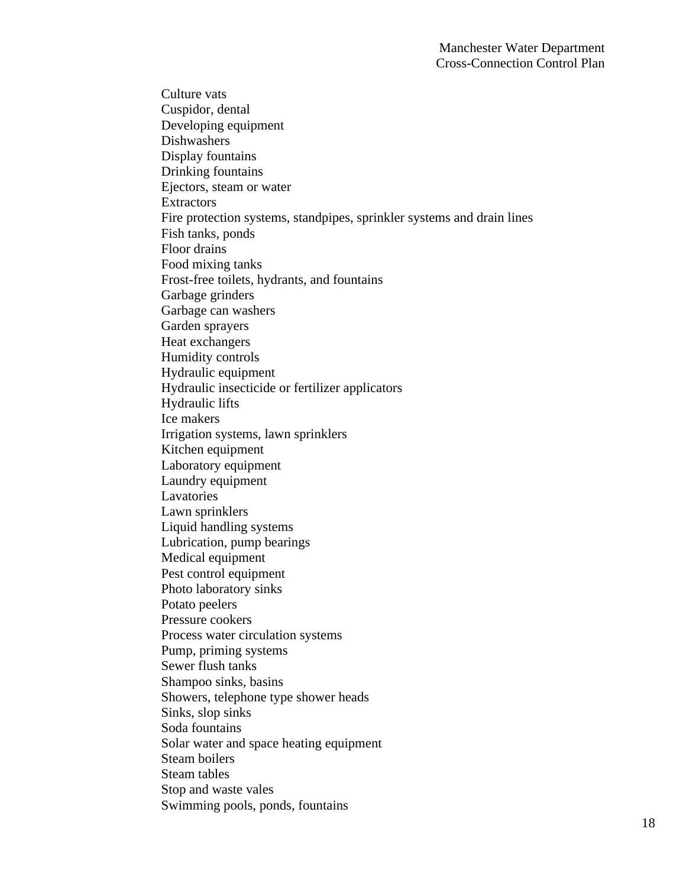Culture vats Cuspidor, dental Developing equipment Dishwashers Display fountains Drinking fountains Ejectors, steam or water **Extractors** Fire protection systems, standpipes, sprinkler systems and drain lines Fish tanks, ponds Floor drains Food mixing tanks Frost-free toilets, hydrants, and fountains Garbage grinders Garbage can washers Garden sprayers Heat exchangers Humidity controls Hydraulic equipment Hydraulic insecticide or fertilizer applicators Hydraulic lifts Ice makers Irrigation systems, lawn sprinklers Kitchen equipment Laboratory equipment Laundry equipment Lavatories Lawn sprinklers Liquid handling systems Lubrication, pump bearings Medical equipment Pest control equipment Photo laboratory sinks Potato peelers Pressure cookers Process water circulation systems Pump, priming systems Sewer flush tanks Shampoo sinks, basins Showers, telephone type shower heads Sinks, slop sinks Soda fountains Solar water and space heating equipment Steam boilers Steam tables Stop and waste vales Swimming pools, ponds, fountains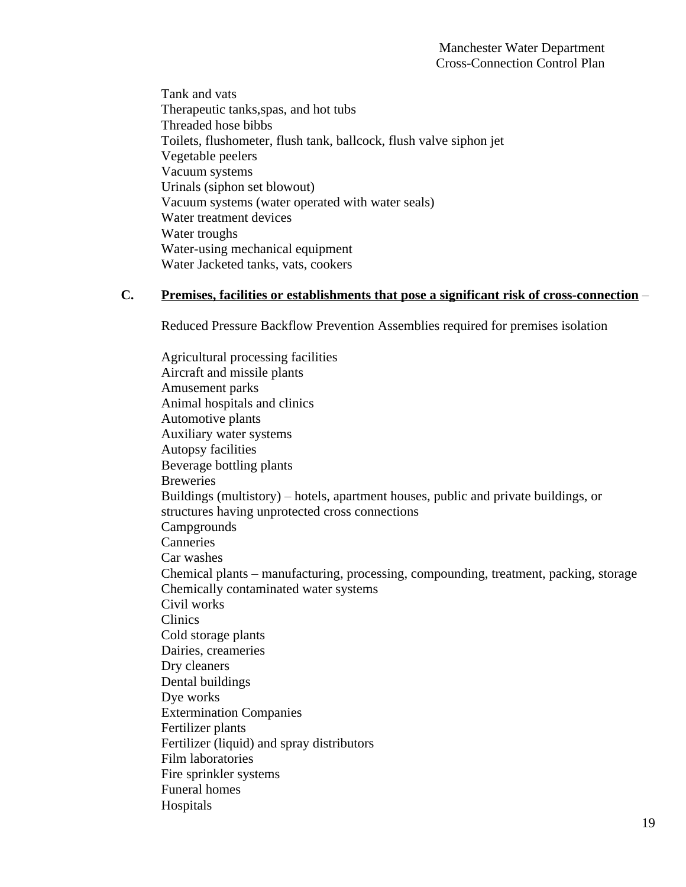Tank and vats Therapeutic tanks,spas, and hot tubs Threaded hose bibbs Toilets, flushometer, flush tank, ballcock, flush valve siphon jet Vegetable peelers Vacuum systems Urinals (siphon set blowout) Vacuum systems (water operated with water seals) Water treatment devices Water troughs Water-using mechanical equipment Water Jacketed tanks, vats, cookers

# **C. Premises, facilities or establishments that pose a significant risk of cross-connection** –

Reduced Pressure Backflow Prevention Assemblies required for premises isolation

Agricultural processing facilities Aircraft and missile plants Amusement parks Animal hospitals and clinics Automotive plants Auxiliary water systems Autopsy facilities Beverage bottling plants Breweries Buildings (multistory) – hotels, apartment houses, public and private buildings, or structures having unprotected cross connections Campgrounds Canneries Car washes Chemical plants – manufacturing, processing, compounding, treatment, packing, storage Chemically contaminated water systems Civil works Clinics Cold storage plants Dairies, creameries Dry cleaners Dental buildings Dye works Extermination Companies Fertilizer plants Fertilizer (liquid) and spray distributors Film laboratories Fire sprinkler systems Funeral homes Hospitals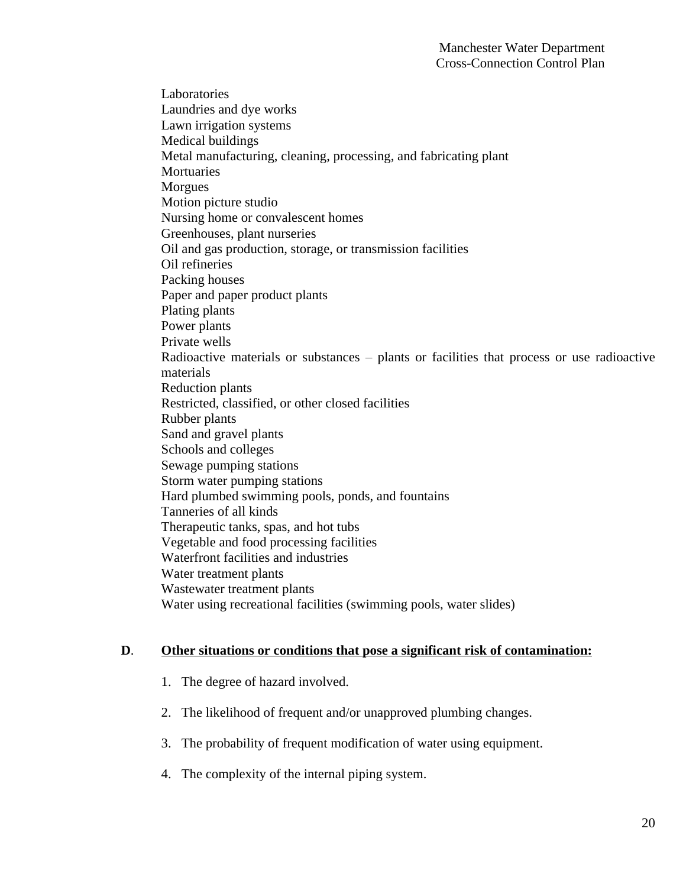Laboratories Laundries and dye works Lawn irrigation systems Medical buildings Metal manufacturing, cleaning, processing, and fabricating plant **Mortuaries** Morgues Motion picture studio Nursing home or convalescent homes Greenhouses, plant nurseries Oil and gas production, storage, or transmission facilities Oil refineries Packing houses Paper and paper product plants Plating plants Power plants Private wells Radioactive materials or substances – plants or facilities that process or use radioactive materials Reduction plants Restricted, classified, or other closed facilities Rubber plants Sand and gravel plants Schools and colleges Sewage pumping stations Storm water pumping stations Hard plumbed swimming pools, ponds, and fountains Tanneries of all kinds Therapeutic tanks, spas, and hot tubs Vegetable and food processing facilities Waterfront facilities and industries Water treatment plants Wastewater treatment plants Water using recreational facilities (swimming pools, water slides)

### **D**. **Other situations or conditions that pose a significant risk of contamination:**

- 1. The degree of hazard involved.
- 2. The likelihood of frequent and/or unapproved plumbing changes.
- 3. The probability of frequent modification of water using equipment.
- 4. The complexity of the internal piping system.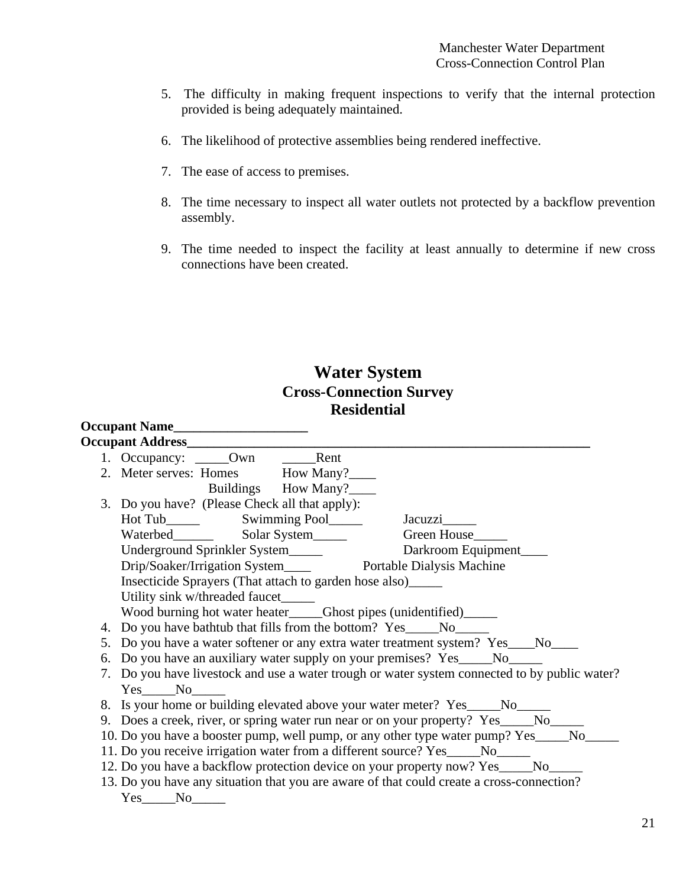- 5. The difficulty in making frequent inspections to verify that the internal protection provided is being adequately maintained.
- 6. The likelihood of protective assemblies being rendered ineffective.
- 7. The ease of access to premises.
- 8. The time necessary to inspect all water outlets not protected by a backflow prevention assembly.
- 9. The time needed to inspect the facility at least annually to determine if new cross connections have been created.

# **Water System Cross-Connection Survey Residential**

| 1. Occupancy: ______Own ________Rent                                              |  |                                                               |                                                                                               |  |
|-----------------------------------------------------------------------------------|--|---------------------------------------------------------------|-----------------------------------------------------------------------------------------------|--|
|                                                                                   |  | 2. Meter serves: Homes How Many?_____                         |                                                                                               |  |
|                                                                                   |  | Buildings How Many?                                           |                                                                                               |  |
|                                                                                   |  | 3. Do you have? (Please Check all that apply):                |                                                                                               |  |
|                                                                                   |  |                                                               |                                                                                               |  |
|                                                                                   |  |                                                               |                                                                                               |  |
|                                                                                   |  | Underground Sprinkler System_____                             | Darkroom Equipment                                                                            |  |
|                                                                                   |  |                                                               |                                                                                               |  |
|                                                                                   |  | Insecticide Sprayers (That attach to garden hose also)_______ |                                                                                               |  |
| Utility sink w/threaded faucet____                                                |  |                                                               |                                                                                               |  |
|                                                                                   |  |                                                               | Wood burning hot water heater____Ghost pipes (unidentified)_____                              |  |
|                                                                                   |  |                                                               |                                                                                               |  |
| 5. Do you have a water softener or any extra water treatment system? Yes___No____ |  |                                                               |                                                                                               |  |
| 6. Do you have an auxiliary water supply on your premises? Yes____No_____         |  |                                                               |                                                                                               |  |
|                                                                                   |  |                                                               | 7. Do you have livestock and use a water trough or water system connected to by public water? |  |
| Yes No                                                                            |  |                                                               |                                                                                               |  |
|                                                                                   |  |                                                               | 8. Is your home or building elevated above your water meter? Yes____No____                    |  |
|                                                                                   |  |                                                               | 9. Does a creek, river, or spring water run near or on your property? Yes _____No_____        |  |
|                                                                                   |  |                                                               | 10. Do you have a booster pump, well pump, or any other type water pump? Yes_____No_____      |  |
|                                                                                   |  |                                                               | 11. Do you receive irrigation water from a different source? Yes____No____                    |  |
|                                                                                   |  |                                                               | 12. Do you have a backflow protection device on your property now? Yes____No____              |  |
|                                                                                   |  |                                                               | 13. Do you have any situation that you are aware of that could create a cross-connection?     |  |
| $Yes$ No $N$ o                                                                    |  |                                                               |                                                                                               |  |
|                                                                                   |  |                                                               |                                                                                               |  |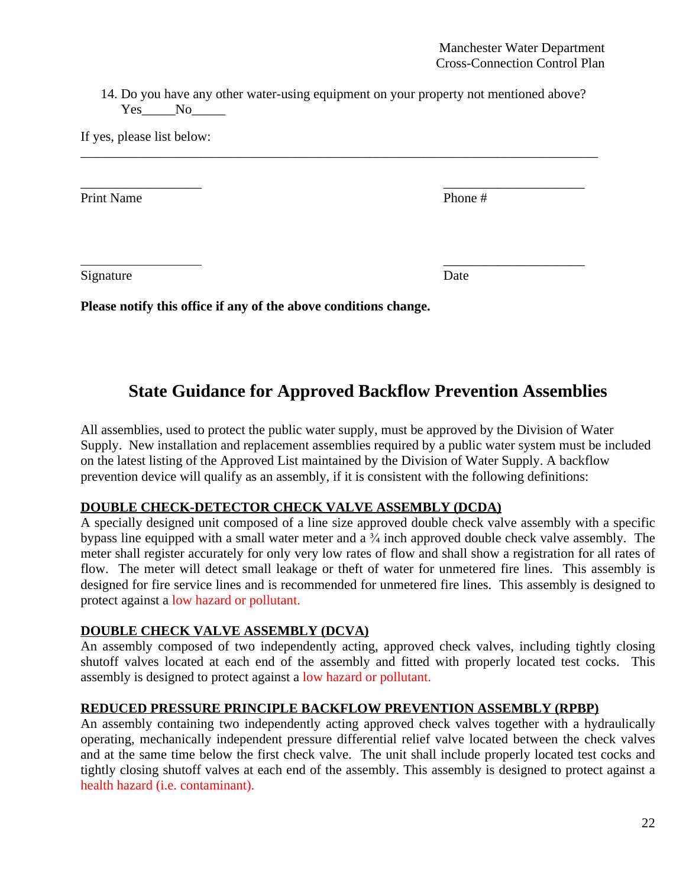14. Do you have any other water-using equipment on your property not mentioned above? Yes No

\_\_\_\_\_\_\_\_\_\_\_\_\_\_\_\_\_\_\_\_\_\_\_\_\_\_\_\_\_\_\_\_\_\_\_\_\_\_\_\_\_\_\_\_\_\_\_\_\_\_\_\_\_\_\_\_\_\_\_\_\_\_\_\_\_\_\_\_\_\_\_\_\_\_\_\_\_

\_\_\_\_\_\_\_\_\_\_\_\_\_\_\_\_\_\_ \_\_\_\_\_\_\_\_\_\_\_\_\_\_\_\_\_\_\_\_\_

\_\_\_\_\_\_\_\_\_\_\_\_\_\_\_\_\_\_\_\_\_

If yes, please list below:

Print Name Phone #

Signature Date

**Please notify this office if any of the above conditions change.**

# **State Guidance for Approved Backflow Prevention Assemblies**

All assemblies, used to protect the public water supply, must be approved by the Division of Water Supply. New installation and replacement assemblies required by a public water system must be included on the latest listing of the Approved List maintained by the Division of Water Supply. A backflow prevention device will qualify as an assembly, if it is consistent with the following definitions:

# **DOUBLE CHECK-DETECTOR CHECK VALVE ASSEMBLY (DCDA)**

A specially designed unit composed of a line size approved double check valve assembly with a specific bypass line equipped with a small water meter and a ¾ inch approved double check valve assembly. The meter shall register accurately for only very low rates of flow and shall show a registration for all rates of flow. The meter will detect small leakage or theft of water for unmetered fire lines. This assembly is designed for fire service lines and is recommended for unmetered fire lines. This assembly is designed to protect against a low hazard or pollutant.

# **DOUBLE CHECK VALVE ASSEMBLY (DCVA)**

An assembly composed of two independently acting, approved check valves, including tightly closing shutoff valves located at each end of the assembly and fitted with properly located test cocks. This assembly is designed to protect against a low hazard or pollutant.

# **REDUCED PRESSURE PRINCIPLE BACKFLOW PREVENTION ASSEMBLY (RPBP)**

An assembly containing two independently acting approved check valves together with a hydraulically operating, mechanically independent pressure differential relief valve located between the check valves and at the same time below the first check valve. The unit shall include properly located test cocks and tightly closing shutoff valves at each end of the assembly. This assembly is designed to protect against a health hazard (i.e. contaminant).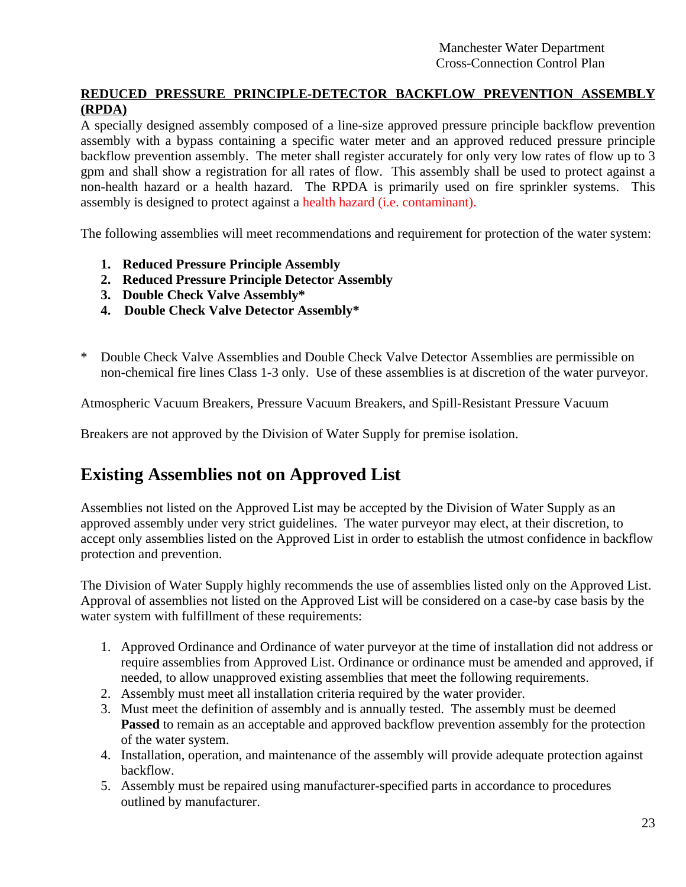# **REDUCED PRESSURE PRINCIPLE-DETECTOR BACKFLOW PREVENTION ASSEMBLY (RPDA)**

A specially designed assembly composed of a line-size approved pressure principle backflow prevention assembly with a bypass containing a specific water meter and an approved reduced pressure principle backflow prevention assembly. The meter shall register accurately for only very low rates of flow up to 3 gpm and shall show a registration for all rates of flow. This assembly shall be used to protect against a non-health hazard or a health hazard. The RPDA is primarily used on fire sprinkler systems. This assembly is designed to protect against a health hazard (i.e. contaminant).

The following assemblies will meet recommendations and requirement for protection of the water system:

- **1. Reduced Pressure Principle Assembly**
- **2. Reduced Pressure Principle Detector Assembly**
- **3. Double Check Valve Assembly\***
- **4. Double Check Valve Detector Assembly\***
- Double Check Valve Assemblies and Double Check Valve Detector Assemblies are permissible on non-chemical fire lines Class 1-3 only. Use of these assemblies is at discretion of the water purveyor.

Atmospheric Vacuum Breakers, Pressure Vacuum Breakers, and Spill-Resistant Pressure Vacuum

Breakers are not approved by the Division of Water Supply for premise isolation.

# **Existing Assemblies not on Approved List**

Assemblies not listed on the Approved List may be accepted by the Division of Water Supply as an approved assembly under very strict guidelines. The water purveyor may elect, at their discretion, to accept only assemblies listed on the Approved List in order to establish the utmost confidence in backflow protection and prevention.

The Division of Water Supply highly recommends the use of assemblies listed only on the Approved List. Approval of assemblies not listed on the Approved List will be considered on a case-by case basis by the water system with fulfillment of these requirements:

- 1. Approved Ordinance and Ordinance of water purveyor at the time of installation did not address or require assemblies from Approved List. Ordinance or ordinance must be amended and approved, if needed, to allow unapproved existing assemblies that meet the following requirements.
- 2. Assembly must meet all installation criteria required by the water provider.
- 3. Must meet the definition of assembly and is annually tested. The assembly must be deemed **Passed** to remain as an acceptable and approved backflow prevention assembly for the protection of the water system.
- 4. Installation, operation, and maintenance of the assembly will provide adequate protection against backflow.
- 5. Assembly must be repaired using manufacturer-specified parts in accordance to procedures outlined by manufacturer.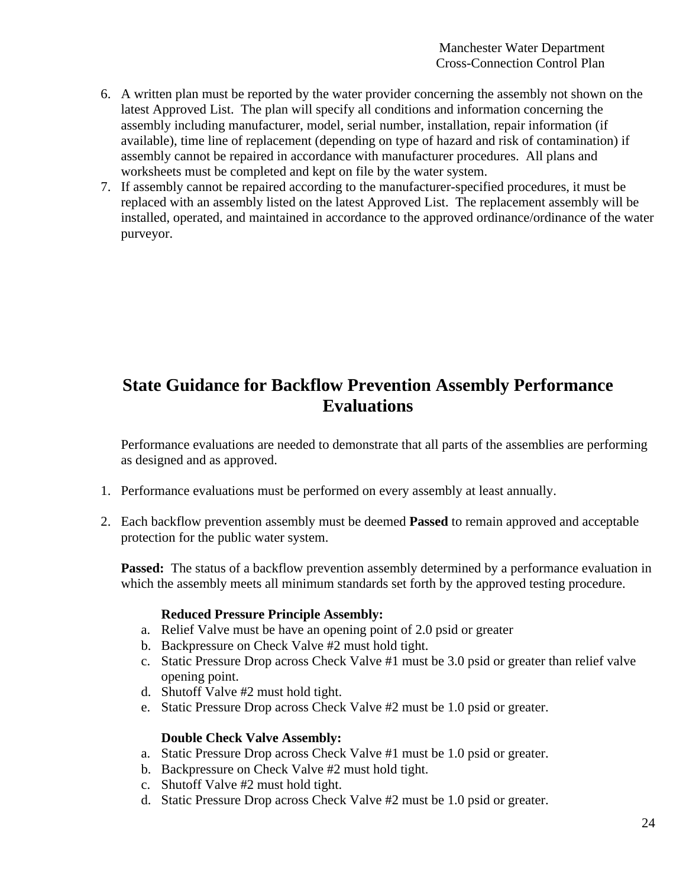- 6. A written plan must be reported by the water provider concerning the assembly not shown on the latest Approved List. The plan will specify all conditions and information concerning the assembly including manufacturer, model, serial number, installation, repair information (if available), time line of replacement (depending on type of hazard and risk of contamination) if assembly cannot be repaired in accordance with manufacturer procedures. All plans and worksheets must be completed and kept on file by the water system.
- 7. If assembly cannot be repaired according to the manufacturer-specified procedures, it must be replaced with an assembly listed on the latest Approved List. The replacement assembly will be installed, operated, and maintained in accordance to the approved ordinance/ordinance of the water purveyor.

# **State Guidance for Backflow Prevention Assembly Performance Evaluations**

Performance evaluations are needed to demonstrate that all parts of the assemblies are performing as designed and as approved.

- 1. Performance evaluations must be performed on every assembly at least annually.
- 2. Each backflow prevention assembly must be deemed **Passed** to remain approved and acceptable protection for the public water system.

**Passed:** The status of a backflow prevention assembly determined by a performance evaluation in which the assembly meets all minimum standards set forth by the approved testing procedure.

### **Reduced Pressure Principle Assembly:**

- a. Relief Valve must be have an opening point of 2.0 psid or greater
- b. Backpressure on Check Valve #2 must hold tight.
- c. Static Pressure Drop across Check Valve #1 must be 3.0 psid or greater than relief valve opening point.
- d. Shutoff Valve #2 must hold tight.
- e. Static Pressure Drop across Check Valve #2 must be 1.0 psid or greater.

### **Double Check Valve Assembly:**

- a. Static Pressure Drop across Check Valve #1 must be 1.0 psid or greater.
- b. Backpressure on Check Valve #2 must hold tight.
- c. Shutoff Valve #2 must hold tight.
- d. Static Pressure Drop across Check Valve #2 must be 1.0 psid or greater.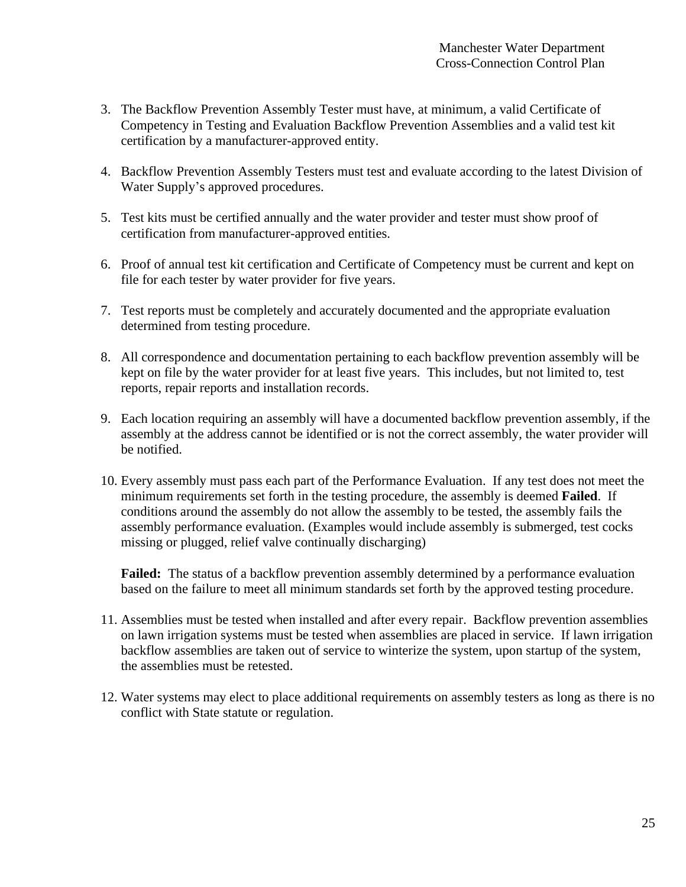- 3. The Backflow Prevention Assembly Tester must have, at minimum, a valid Certificate of Competency in Testing and Evaluation Backflow Prevention Assemblies and a valid test kit certification by a manufacturer-approved entity.
- 4. Backflow Prevention Assembly Testers must test and evaluate according to the latest Division of Water Supply's approved procedures.
- 5. Test kits must be certified annually and the water provider and tester must show proof of certification from manufacturer-approved entities.
- 6. Proof of annual test kit certification and Certificate of Competency must be current and kept on file for each tester by water provider for five years.
- 7. Test reports must be completely and accurately documented and the appropriate evaluation determined from testing procedure.
- 8. All correspondence and documentation pertaining to each backflow prevention assembly will be kept on file by the water provider for at least five years. This includes, but not limited to, test reports, repair reports and installation records.
- 9. Each location requiring an assembly will have a documented backflow prevention assembly, if the assembly at the address cannot be identified or is not the correct assembly, the water provider will be notified.
- 10. Every assembly must pass each part of the Performance Evaluation. If any test does not meet the minimum requirements set forth in the testing procedure, the assembly is deemed **Failed**. If conditions around the assembly do not allow the assembly to be tested, the assembly fails the assembly performance evaluation. (Examples would include assembly is submerged, test cocks missing or plugged, relief valve continually discharging)

**Failed:** The status of a backflow prevention assembly determined by a performance evaluation based on the failure to meet all minimum standards set forth by the approved testing procedure.

- 11. Assemblies must be tested when installed and after every repair. Backflow prevention assemblies on lawn irrigation systems must be tested when assemblies are placed in service. If lawn irrigation backflow assemblies are taken out of service to winterize the system, upon startup of the system, the assemblies must be retested.
- 12. Water systems may elect to place additional requirements on assembly testers as long as there is no conflict with State statute or regulation.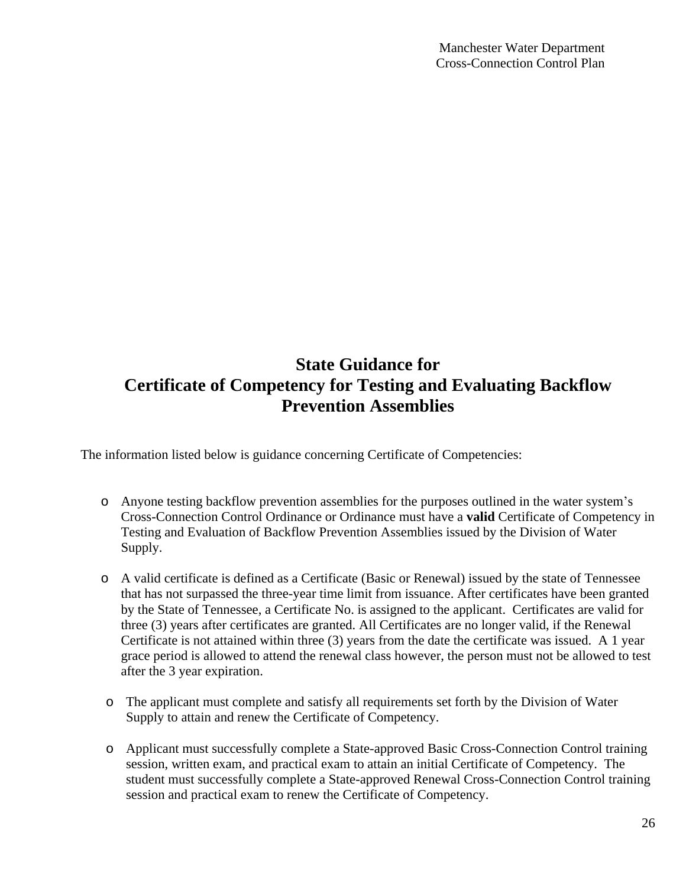# **State Guidance for Certificate of Competency for Testing and Evaluating Backflow Prevention Assemblies**

The information listed below is guidance concerning Certificate of Competencies:

- o Anyone testing backflow prevention assemblies for the purposes outlined in the water system's Cross-Connection Control Ordinance or Ordinance must have a **valid** Certificate of Competency in Testing and Evaluation of Backflow Prevention Assemblies issued by the Division of Water Supply.
- o A valid certificate is defined as a Certificate (Basic or Renewal) issued by the state of Tennessee that has not surpassed the three-year time limit from issuance. After certificates have been granted by the State of Tennessee, a Certificate No. is assigned to the applicant. Certificates are valid for three (3) years after certificates are granted. All Certificates are no longer valid, if the Renewal Certificate is not attained within three (3) years from the date the certificate was issued. A 1 year grace period is allowed to attend the renewal class however, the person must not be allowed to test after the 3 year expiration.
- o The applicant must complete and satisfy all requirements set forth by the Division of Water Supply to attain and renew the Certificate of Competency.
- o Applicant must successfully complete a State-approved Basic Cross-Connection Control training session, written exam, and practical exam to attain an initial Certificate of Competency. The student must successfully complete a State-approved Renewal Cross-Connection Control training session and practical exam to renew the Certificate of Competency.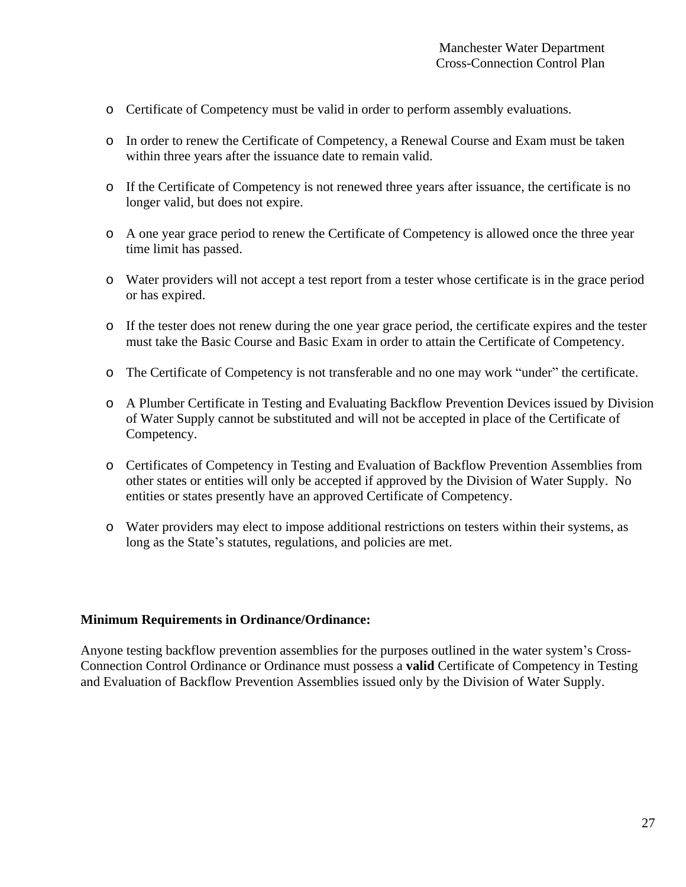- o Certificate of Competency must be valid in order to perform assembly evaluations.
- o In order to renew the Certificate of Competency, a Renewal Course and Exam must be taken within three years after the issuance date to remain valid.
- o If the Certificate of Competency is not renewed three years after issuance, the certificate is no longer valid, but does not expire.
- o A one year grace period to renew the Certificate of Competency is allowed once the three year time limit has passed.
- o Water providers will not accept a test report from a tester whose certificate is in the grace period or has expired.
- o If the tester does not renew during the one year grace period, the certificate expires and the tester must take the Basic Course and Basic Exam in order to attain the Certificate of Competency.
- o The Certificate of Competency is not transferable and no one may work "under" the certificate.
- o A Plumber Certificate in Testing and Evaluating Backflow Prevention Devices issued by Division of Water Supply cannot be substituted and will not be accepted in place of the Certificate of Competency.
- o Certificates of Competency in Testing and Evaluation of Backflow Prevention Assemblies from other states or entities will only be accepted if approved by the Division of Water Supply. No entities or states presently have an approved Certificate of Competency.
- o Water providers may elect to impose additional restrictions on testers within their systems, as long as the State's statutes, regulations, and policies are met.

### **Minimum Requirements in Ordinance/Ordinance:**

Anyone testing backflow prevention assemblies for the purposes outlined in the water system's Cross-Connection Control Ordinance or Ordinance must possess a **valid** Certificate of Competency in Testing and Evaluation of Backflow Prevention Assemblies issued only by the Division of Water Supply.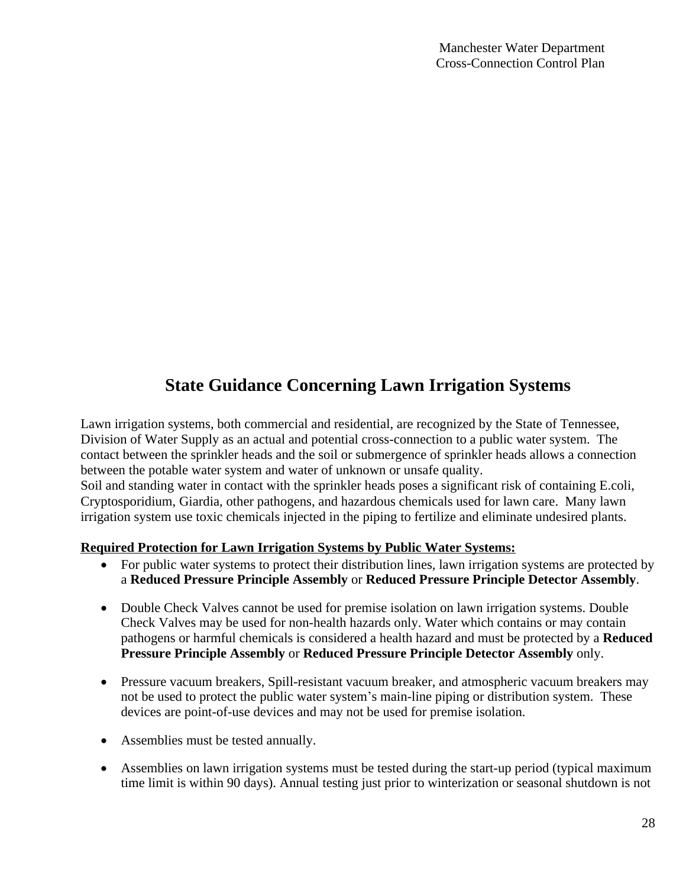# **State Guidance Concerning Lawn Irrigation Systems**

Lawn irrigation systems, both commercial and residential, are recognized by the State of Tennessee, Division of Water Supply as an actual and potential cross-connection to a public water system. The contact between the sprinkler heads and the soil or submergence of sprinkler heads allows a connection between the potable water system and water of unknown or unsafe quality.

Soil and standing water in contact with the sprinkler heads poses a significant risk of containing E.coli, Cryptosporidium, Giardia, other pathogens, and hazardous chemicals used for lawn care. Many lawn irrigation system use toxic chemicals injected in the piping to fertilize and eliminate undesired plants.

# **Required Protection for Lawn Irrigation Systems by Public Water Systems:**

- For public water systems to protect their distribution lines, lawn irrigation systems are protected by a **Reduced Pressure Principle Assembly** or **Reduced Pressure Principle Detector Assembly**.
- Double Check Valves cannot be used for premise isolation on lawn irrigation systems. Double Check Valves may be used for non-health hazards only. Water which contains or may contain pathogens or harmful chemicals is considered a health hazard and must be protected by a **Reduced Pressure Principle Assembly** or **Reduced Pressure Principle Detector Assembly** only.
- Pressure vacuum breakers, Spill-resistant vacuum breaker, and atmospheric vacuum breakers may not be used to protect the public water system's main-line piping or distribution system. These devices are point-of-use devices and may not be used for premise isolation.
- Assemblies must be tested annually.
- Assemblies on lawn irrigation systems must be tested during the start-up period (typical maximum time limit is within 90 days). Annual testing just prior to winterization or seasonal shutdown is not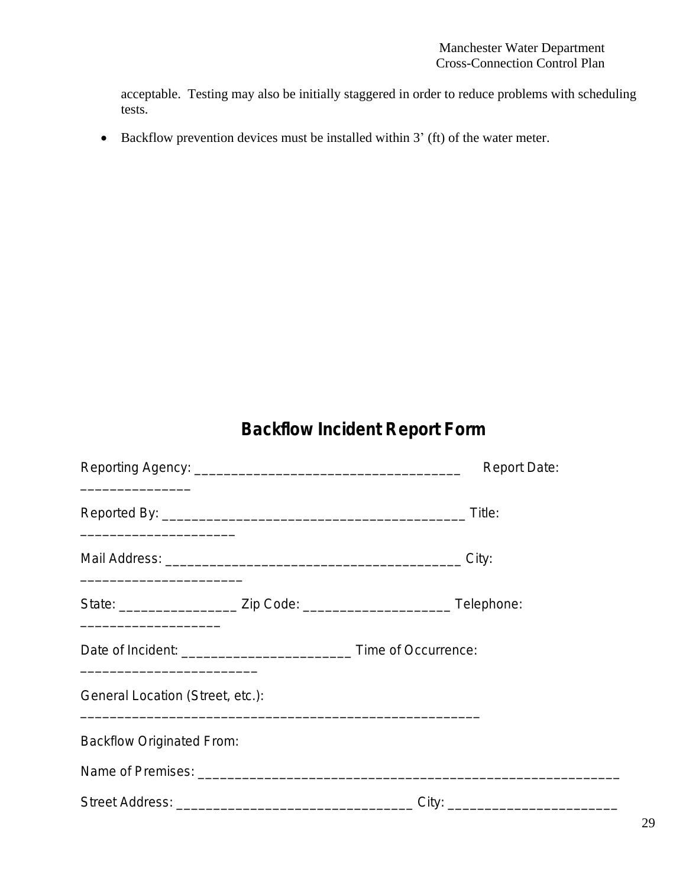acceptable. Testing may also be initially staggered in order to reduce problems with scheduling tests.

• Backflow prevention devices must be installed within 3' (ft) of the water meter.

# **Backflow Incident Report Form**

| the control of the control of the control of the control of the control of | <b>Report Date:</b> |
|----------------------------------------------------------------------------|---------------------|
|                                                                            |                     |
|                                                                            |                     |
|                                                                            |                     |
|                                                                            |                     |
| General Location (Street, etc.):                                           |                     |
| <b>Backflow Originated From:</b>                                           |                     |
|                                                                            |                     |
|                                                                            |                     |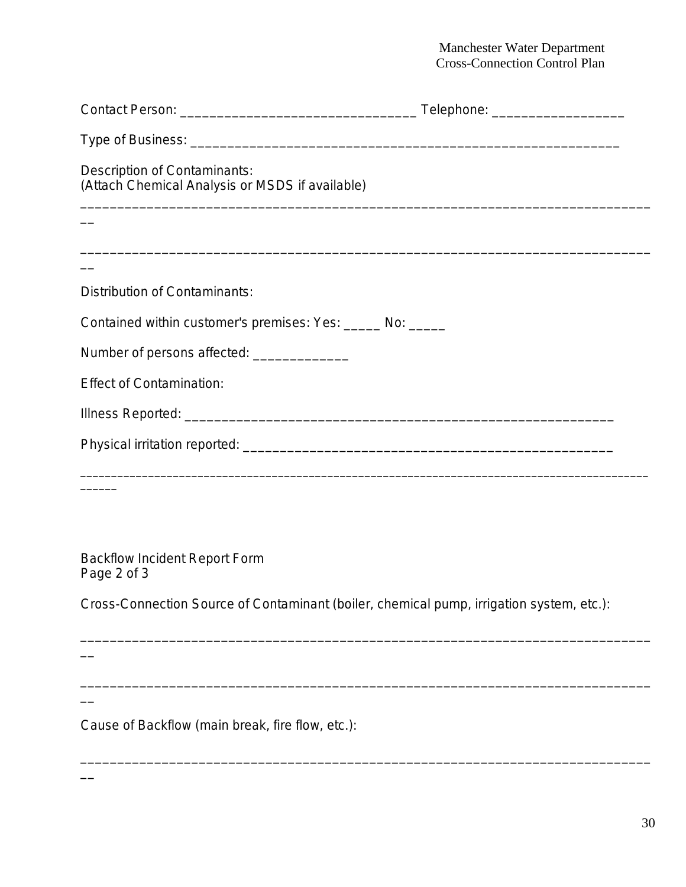| Description of Contaminants:<br>(Attach Chemical Analysis or MSDS if available)          |  |
|------------------------------------------------------------------------------------------|--|
|                                                                                          |  |
|                                                                                          |  |
| Distribution of Contaminants:                                                            |  |
| Contained within customer's premises: Yes: ______ No: _____                              |  |
| Number of persons affected: _______________                                              |  |
| <b>Effect of Contamination:</b>                                                          |  |
|                                                                                          |  |
|                                                                                          |  |
|                                                                                          |  |
| <b>Backflow Incident Report Form</b><br>Page 2 of 3                                      |  |
| Cross-Connection Source of Contaminant (boiler, chemical pump, irrigation system, etc.): |  |
|                                                                                          |  |

\_\_\_\_\_\_\_\_\_\_\_\_\_\_\_\_\_\_\_\_\_\_\_\_\_\_\_\_\_\_\_\_\_\_\_\_\_\_\_\_\_\_\_\_\_\_\_\_\_\_\_\_\_\_\_\_\_\_\_\_\_\_\_\_\_\_\_\_\_\_\_\_\_\_\_\_\_

Cause of Backflow (main break, fire flow, etc.):

 $\overline{\phantom{a}}$ 

\_\_\_\_\_\_\_\_\_\_\_\_\_\_\_\_\_\_\_\_\_\_\_\_\_\_\_\_\_\_\_\_\_\_\_\_\_\_\_\_\_\_\_\_\_\_\_\_\_\_\_\_\_\_\_\_\_\_\_\_\_\_\_\_\_\_\_\_\_\_\_\_\_\_\_\_\_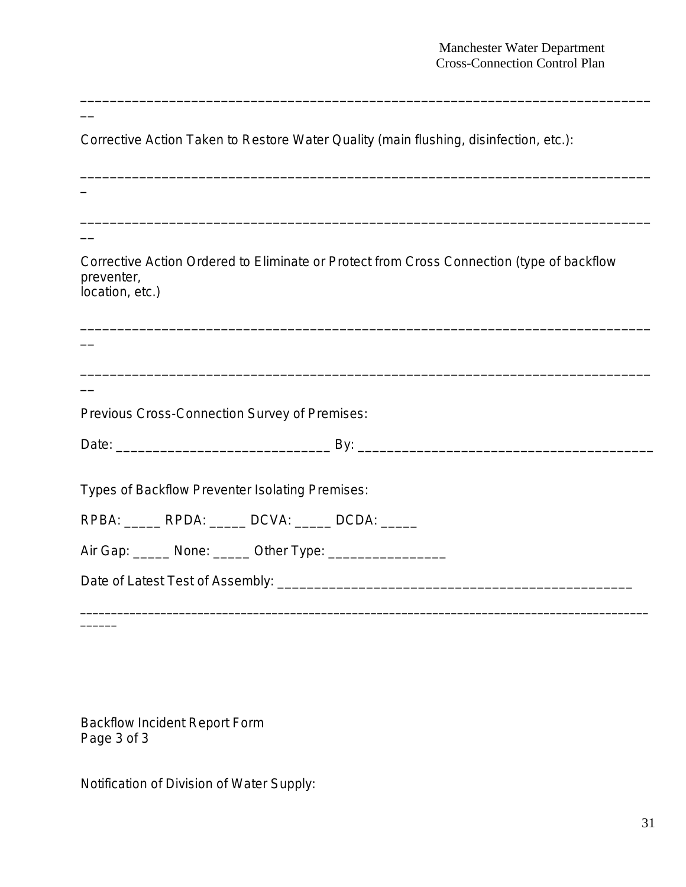Corrective Action Taken to Restore Water Quality (main flushing, disinfection, etc.): \_\_\_\_\_\_\_\_\_\_\_\_\_\_\_\_\_\_\_\_\_\_\_\_\_\_\_\_\_\_\_\_\_\_\_\_\_\_\_\_\_\_\_\_\_\_\_\_\_\_\_\_\_\_\_\_\_\_\_\_\_\_\_\_\_\_\_\_\_\_\_\_\_\_\_\_\_  $\overline{\phantom{0}}$ \_\_\_\_\_\_\_\_\_\_\_\_\_\_\_\_\_\_\_\_\_\_\_\_\_\_\_\_\_\_\_\_\_\_\_\_\_\_\_\_\_\_\_\_\_\_\_\_\_\_\_\_\_\_\_\_\_\_\_\_\_\_\_\_\_\_\_\_\_\_\_\_\_\_\_\_\_  $\overline{\phantom{a}}$ Corrective Action Ordered to Eliminate or Protect from Cross Connection (type of backflow preventer, location, etc.) \_\_\_\_\_\_\_\_\_\_\_\_\_\_\_\_\_\_\_\_\_\_\_\_\_\_\_\_\_\_\_\_\_\_\_\_\_\_\_\_\_\_\_\_\_\_\_\_\_\_\_\_\_\_\_\_\_\_\_\_\_\_\_\_\_\_\_\_\_\_\_\_\_\_\_\_\_  $\overline{\phantom{a}}$ \_\_\_\_\_\_\_\_\_\_\_\_\_\_\_\_\_\_\_\_\_\_\_\_\_\_\_\_\_\_\_\_\_\_\_\_\_\_\_\_\_\_\_\_\_\_\_\_\_\_\_\_\_\_\_\_\_\_\_\_\_\_\_\_\_\_\_\_\_\_\_\_\_\_\_\_\_  $\overline{\phantom{a}}$ Previous Cross-Connection Survey of Premises: Date: \_\_\_\_\_\_\_\_\_\_\_\_\_\_\_\_\_\_\_\_\_\_\_\_\_\_\_\_\_ By: \_\_\_\_\_\_\_\_\_\_\_\_\_\_\_\_\_\_\_\_\_\_\_\_\_\_\_\_\_\_\_\_\_\_\_\_\_\_\_\_ Types of Backflow Preventer Isolating Premises: RPBA: RPDA: DCVA: DCDA: Air Gap: \_\_\_\_\_\_ None: \_\_\_\_\_\_ Other Type: \_\_\_\_\_\_\_\_\_\_\_\_\_\_\_\_\_\_\_\_\_ Date of Latest Test of Assembly: \_\_\_\_\_\_\_\_\_\_\_\_\_\_\_\_\_\_\_\_\_\_\_\_\_\_\_\_\_\_\_\_\_\_\_\_\_\_\_\_\_\_\_\_\_\_\_\_  $\_$  ,  $\_$  ,  $\_$  ,  $\_$  ,  $\_$  ,  $\_$  ,  $\_$  ,  $\_$  ,  $\_$  ,  $\_$  ,  $\_$  ,  $\_$  ,  $\_$  ,  $\_$  ,  $\_$  ,  $\_$  ,  $\_$  ,  $\_$  ,  $\_$  ,  $\_$  ,  $\_$  ,  $\_$  ,  $\_$  ,  $\_$  ,  $\_$  ,  $\_$  ,  $\_$  ,  $\_$  ,  $\_$  ,  $\_$  ,  $\_$  ,  $\_$  ,  $\_$  ,  $\_$  ,  $\_$  ,  $\_$  ,  $\_$  , \_\_\_\_\_\_

\_\_\_\_\_\_\_\_\_\_\_\_\_\_\_\_\_\_\_\_\_\_\_\_\_\_\_\_\_\_\_\_\_\_\_\_\_\_\_\_\_\_\_\_\_\_\_\_\_\_\_\_\_\_\_\_\_\_\_\_\_\_\_\_\_\_\_\_\_\_\_\_\_\_\_\_\_

Backflow Incident Report Form Page 3 of 3

 $\overline{\phantom{0}}$ 

Notification of Division of Water Supply: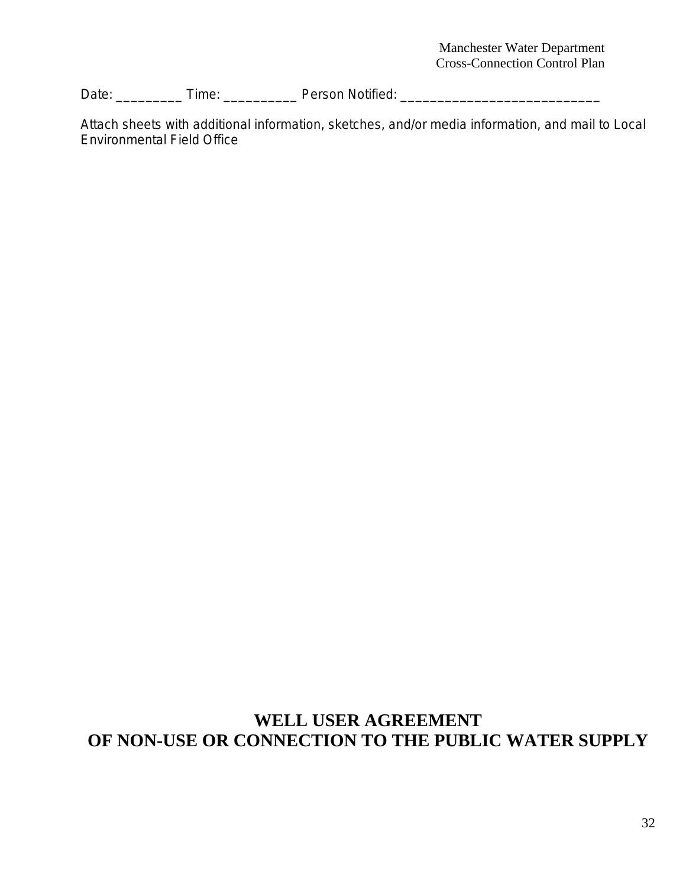Date: \_\_\_\_\_\_\_\_\_\_\_ Time: \_\_\_\_\_\_\_\_\_\_\_\_\_\_ Person Notified: \_\_\_\_\_\_\_\_\_\_\_\_\_\_\_\_\_\_\_\_\_\_\_\_\_\_\_\_\_\_\_

Attach sheets with additional information, sketches, and/or media information, and mail to Local Environmental Field Office

# **WELL USER AGREEMENT OF NON-USE OR CONNECTION TO THE PUBLIC WATER SUPPLY**